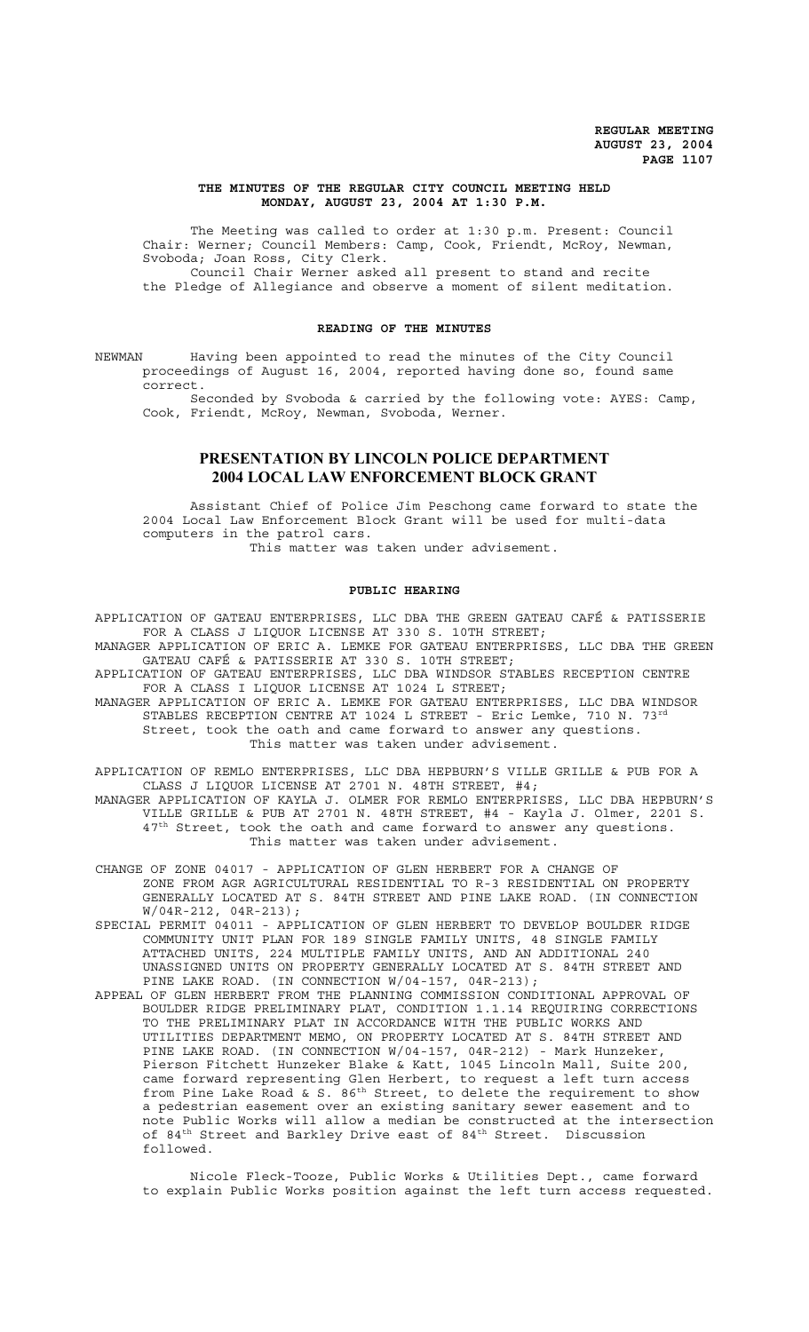#### **THE MINUTES OF THE REGULAR CITY COUNCIL MEETING HELD MONDAY, AUGUST 23, 2004 AT 1:30 P.M.**

The Meeting was called to order at 1:30 p.m. Present: Council Chair: Werner; Council Members: Camp, Cook, Friendt, McRoy, Newman, Svoboda; Joan Ross, City Clerk. Council Chair Werner asked all present to stand and recite

the Pledge of Allegiance and observe a moment of silent meditation.

#### **READING OF THE MINUTES**

NEWMAN Having been appointed to read the minutes of the City Council proceedings of August 16, 2004, reported having done so, found same correct.

Seconded by Svoboda & carried by the following vote: AYES: Camp, Cook, Friendt, McRoy, Newman, Svoboda, Werner.

# **PRESENTATION BY LINCOLN POLICE DEPARTMENT 2004 LOCAL LAW ENFORCEMENT BLOCK GRANT**

Assistant Chief of Police Jim Peschong came forward to state the 2004 Local Law Enforcement Block Grant will be used for multi-data computers in the patrol cars. This matter was taken under advisement.

#### **PUBLIC HEARING**

APPLICATION OF GATEAU ENTERPRISES, LLC DBA THE GREEN GATEAU CAFÉ & PATISSERIE FOR A CLASS J LIQUOR LICENSE AT 330 S. 10TH STREET; MANAGER APPLICATION OF ERIC A. LEMKE FOR GATEAU ENTERPRISES, LLC DBA THE GREEN GATEAU CAFÉ & PATISSERIE AT 330 S. 10TH STREET; APPLICATION OF GATEAU ENTERPRISES, LLC DBA WINDSOR STABLES RECEPTION CENTRE FOR A CLASS I LIQUOR LICENSE AT 1024 L STREET; MANAGER APPLICATION OF ERIC A. LEMKE FOR GATEAU ENTERPRISES, LLC DBA WINDSOR STABLES RECEPTION CENTRE AT 1024 L STREET - Eric Lemke, 710 N. 73<sup>rd</sup> Street, took the oath and came forward to answer any questions. This matter was taken under advisement.

APPLICATION OF REMLO ENTERPRISES, LLC DBA HEPBURN'S VILLE GRILLE & PUB FOR A CLASS J LIQUOR LICENSE AT 2701 N. 48TH STREET, #4; MANAGER APPLICATION OF KAYLA J. OLMER FOR REMLO ENTERPRISES, LLC DBA HEPBURN'S VILLE GRILLE & PUB AT 2701 N. 48TH STREET, #4 - Kayla J. Olmer, 2201 S. 47<sup>th</sup> Street, took the oath and came forward to answer any questions. This matter was taken under advisement.

CHANGE OF ZONE 04017 - APPLICATION OF GLEN HERBERT FOR A CHANGE OF ZONE FROM AGR AGRICULTURAL RESIDENTIAL TO R-3 RESIDENTIAL ON PROPERTY GENERALLY LOCATED AT S. 84TH STREET AND PINE LAKE ROAD. (IN CONNECTION W/04R-212, 04R-213);

SPECIAL PERMIT 04011 - APPLICATION OF GLEN HERBERT TO DEVELOP BOULDER RIDGE COMMUNITY UNIT PLAN FOR 189 SINGLE FAMILY UNITS, 48 SINGLE FAMILY ATTACHED UNITS, 224 MULTIPLE FAMILY UNITS, AND AN ADDITIONAL 240 UNASSIGNED UNITS ON PROPERTY GENERALLY LOCATED AT S. 84TH STREET AND PINE LAKE ROAD. (IN CONNECTION W/04-157, 04R-213);

APPEAL OF GLEN HERBERT FROM THE PLANNING COMMISSION CONDITIONAL APPROVAL OF BOULDER RIDGE PRELIMINARY PLAT, CONDITION 1.1.14 REQUIRING CORRECTIONS TO THE PRELIMINARY PLAT IN ACCORDANCE WITH THE PUBLIC WORKS AND UTILITIES DEPARTMENT MEMO, ON PROPERTY LOCATED AT S. 84TH STREET AND PINE LAKE ROAD. (IN CONNECTION W/04-157, 04R-212) - Mark Hunzeker, Pierson Fitchett Hunzeker Blake & Katt, 1045 Lincoln Mall, Suite 200, came forward representing Glen Herbert, to request a left turn access from Pine Lake Road & S.  $86<sup>th</sup>$  Street, to delete the requirement to show a pedestrian easement over an existing sanitary sewer easement and to note Public Works will allow a median be constructed at the intersection of 84th Street and Barkley Drive east of 84th Street. Discussion followed.

Nicole Fleck-Tooze, Public Works & Utilities Dept., came forward to explain Public Works position against the left turn access requested.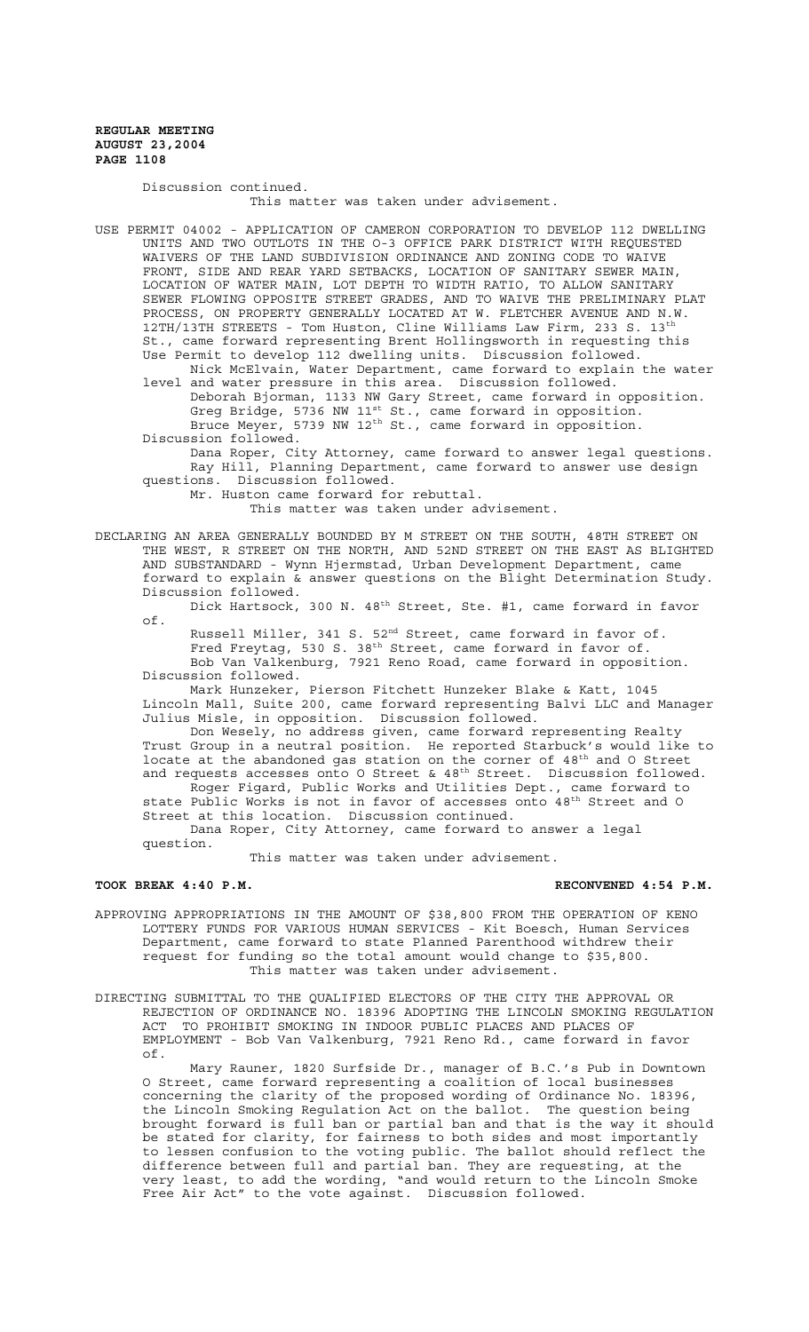Discussion continued.

This matter was taken under advisement.

USE PERMIT 04002 - APPLICATION OF CAMERON CORPORATION TO DEVELOP 112 DWELLING UNITS AND TWO OUTLOTS IN THE O-3 OFFICE PARK DISTRICT WITH REQUESTED WAIVERS OF THE LAND SUBDIVISION ORDINANCE AND ZONING CODE TO WAIVE FRONT, SIDE AND REAR YARD SETBACKS, LOCATION OF SANITARY SEWER MAIN, LOCATION OF WATER MAIN, LOT DEPTH TO WIDTH RATIO, TO ALLOW SANITARY SEWER FLOWING OPPOSITE STREET GRADES, AND TO WAIVE THE PRELIMINARY PLAT PROCESS, ON PROPERTY GENERALLY LOCATED AT W. FLETCHER AVENUE AND N.W. 12TH/13TH STREETS - Tom Huston, Cline Williams Law Firm, 233 S. 13th St., came forward representing Brent Hollingsworth in requesting this Use Permit to develop 112 dwelling units. Discussion followed.

Nick McElvain, Water Department, came forward to explain the water level and water pressure in this area. Discussion followed. Deborah Bjorman, 1133 NW Gary Street, came forward in opposition. Greg Bridge, 5736 NW 11<sup>st</sup> St., came forward in opposition. Bruce Meyer, 5739 NW 12<sup>th</sup> St., came forward in opposition. Discussion followed.

Dana Roper, City Attorney, came forward to answer legal questions. Ray Hill, Planning Department, came forward to answer use design questions. Discussion followed.

Mr. Huston came forward for rebuttal.

This matter was taken under advisement.

DECLARING AN AREA GENERALLY BOUNDED BY M STREET ON THE SOUTH, 48TH STREET ON THE WEST, R STREET ON THE NORTH, AND 52ND STREET ON THE EAST AS BLIGHTED AND SUBSTANDARD - Wynn Hjermstad, Urban Development Department, came forward to explain & answer questions on the Blight Determination Study. Discussion followed.

Dick Hartsock, 300 N. 48<sup>th</sup> Street, Ste. #1, came forward in favor of.

Russell Miller, 341 S. 52<sup>nd</sup> Street, came forward in favor of. Fred Freytag, 530 S. 38<sup>th</sup> Street, came forward in favor of. Bob Van Valkenburg, 7921 Reno Road, came forward in opposition. Discussion followed.

Mark Hunzeker, Pierson Fitchett Hunzeker Blake & Katt, 1045 Lincoln Mall, Suite 200, came forward representing Balvi LLC and Manager Julius Misle, in opposition. Discussion followed.

Don Wesely, no address given, came forward representing Realty Trust Group in a neutral position. He reported Starbuck's would like to locate at the abandoned gas station on the corner of  $48^{\text{th}}$  and O Street and requests accesses onto O Street &  $48^{\text{th}}$  Street. Discussion followed. Roger Figard, Public Works and Utilities Dept., came forward to state Public Works is not in favor of accesses onto 48<sup>th</sup> Street and O Street at this location. Discussion continued. Dana Roper, City Attorney, came forward to answer a legal question.

This matter was taken under advisement.

#### **TOOK BREAK 4:40 P.M. RECONVENED 4:54 P.M.**

- APPROVING APPROPRIATIONS IN THE AMOUNT OF \$38,800 FROM THE OPERATION OF KENO LOTTERY FUNDS FOR VARIOUS HUMAN SERVICES - Kit Boesch, Human Services Department, came forward to state Planned Parenthood withdrew their request for funding so the total amount would change to \$35,800. This matter was taken under advisement.
- DIRECTING SUBMITTAL TO THE QUALIFIED ELECTORS OF THE CITY THE APPROVAL OR REJECTION OF ORDINANCE NO. 18396 ADOPTING THE LINCOLN SMOKING REGULATION ACT TO PROHIBIT SMOKING IN INDOOR PUBLIC PLACES AND PLACES OF EMPLOYMENT - Bob Van Valkenburg, 7921 Reno Rd., came forward in favor of.

Mary Rauner, 1820 Surfside Dr., manager of B.C.'s Pub in Downtown O Street, came forward representing a coalition of local businesses concerning the clarity of the proposed wording of Ordinance No. 18396, the Lincoln Smoking Regulation Act on the ballot. The question being brought forward is full ban or partial ban and that is the way it should be stated for clarity, for fairness to both sides and most importantly to lessen confusion to the voting public. The ballot should reflect the difference between full and partial ban. They are requesting, at the very least, to add the wording, "and would return to the Lincoln Smoke Free Air Act" to the vote against. Discussion followed.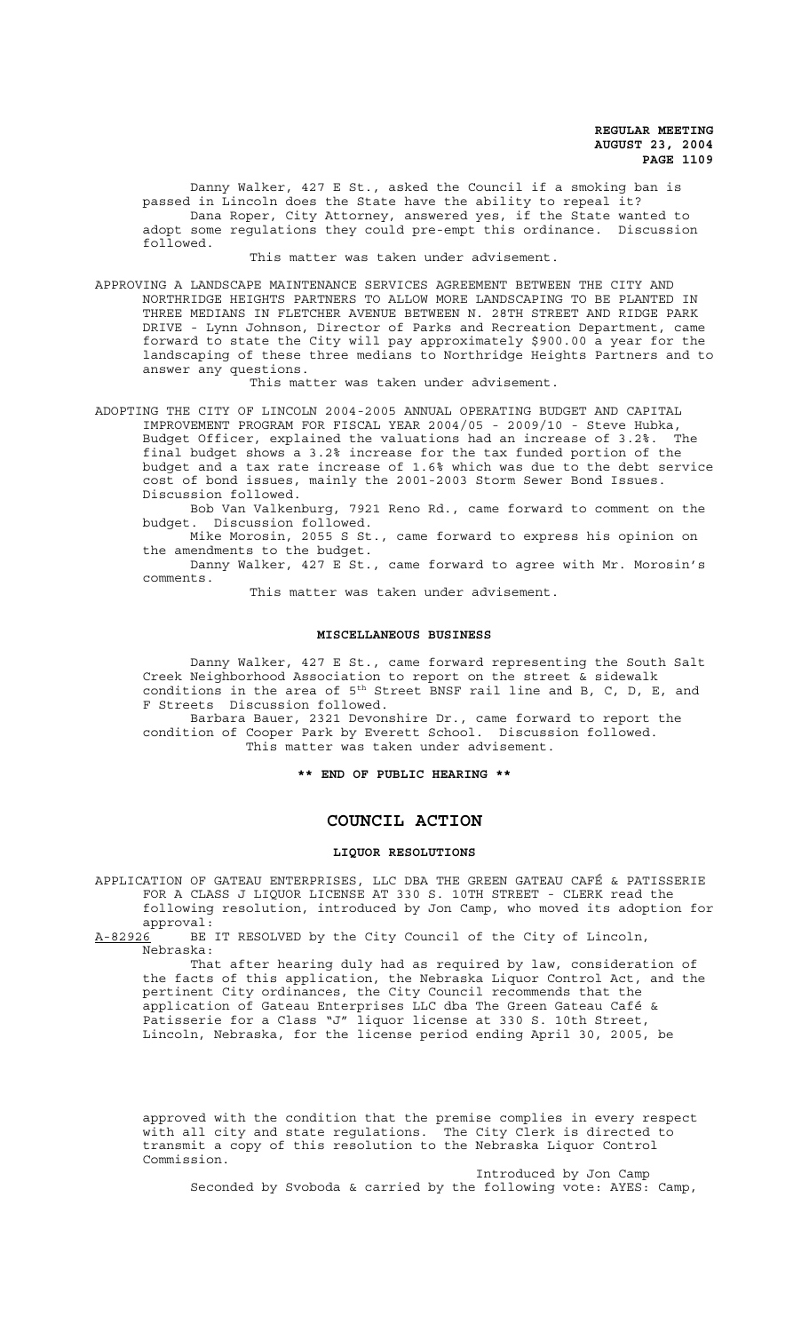Danny Walker, 427 E St., asked the Council if a smoking ban is passed in Lincoln does the State have the ability to repeal it? Dana Roper, City Attorney, answered yes, if the State wanted to adopt some regulations they could pre-empt this ordinance. Discussion followed.

This matter was taken under advisement.

APPROVING A LANDSCAPE MAINTENANCE SERVICES AGREEMENT BETWEEN THE CITY AND NORTHRIDGE HEIGHTS PARTNERS TO ALLOW MORE LANDSCAPING TO BE PLANTED IN THREE MEDIANS IN FLETCHER AVENUE BETWEEN N. 28TH STREET AND RIDGE PARK DRIVE - Lynn Johnson, Director of Parks and Recreation Department, came forward to state the City will pay approximately \$900.00 a year for the landscaping of these three medians to Northridge Heights Partners and to answer any questions.

This matter was taken under advisement.

ADOPTING THE CITY OF LINCOLN 2004-2005 ANNUAL OPERATING BUDGET AND CAPITAL IMPROVEMENT PROGRAM FOR FISCAL YEAR 2004/05 - 2009/10 - Steve Hubka, Budget Officer, explained the valuations had an increase of 3.2%. final budget shows a 3.2% increase for the tax funded portion of the budget and a tax rate increase of 1.6% which was due to the debt service cost of bond issues, mainly the 2001-2003 Storm Sewer Bond Issues. Discussion followed.

Bob Van Valkenburg, 7921 Reno Rd., came forward to comment on the budget. Discussion followed.

Mike Morosin, 2055 S St., came forward to express his opinion on the amendments to the budget.

Danny Walker, 427 E St., came forward to agree with Mr. Morosin's comments.

This matter was taken under advisement.

#### **MISCELLANEOUS BUSINESS**

Danny Walker, 427 E St., came forward representing the South Salt Creek Neighborhood Association to report on the street & sidewalk conditions in the area of  $5<sup>th</sup>$  Street BNSF rail line and B, C, D, E, and F Streets Discussion followed. Barbara Bauer, 2321 Devonshire Dr., came forward to report the

condition of Cooper Park by Everett School. Discussion followed. This matter was taken under advisement.

**\*\* END OF PUBLIC HEARING \*\***

## **COUNCIL ACTION**

## **LIQUOR RESOLUTIONS**

APPLICATION OF GATEAU ENTERPRISES, LLC DBA THE GREEN GATEAU CAFÉ & PATISSERIE FOR A CLASS J LIQUOR LICENSE AT 330 S. 10TH STREET - CLERK read the following resolution, introduced by Jon Camp, who moved its adoption for

approval:<br>A-82926 BE BE IT RESOLVED by the City Council of the City of Lincoln, Nebraska:

That after hearing duly had as required by law, consideration of the facts of this application, the Nebraska Liquor Control Act, and the pertinent City ordinances, the City Council recommends that the application of Gateau Enterprises LLC dba The Green Gateau Café & Patisserie for a Class "J" liquor license at 330 S. 10th Street, Lincoln, Nebraska, for the license period ending April 30, 2005, be

approved with the condition that the premise complies in every respect with all city and state regulations. The City Clerk is directed to transmit a copy of this resolution to the Nebraska Liquor Control Commission.

Introduced by Jon Camp Seconded by Svoboda & carried by the following vote: AYES: Camp,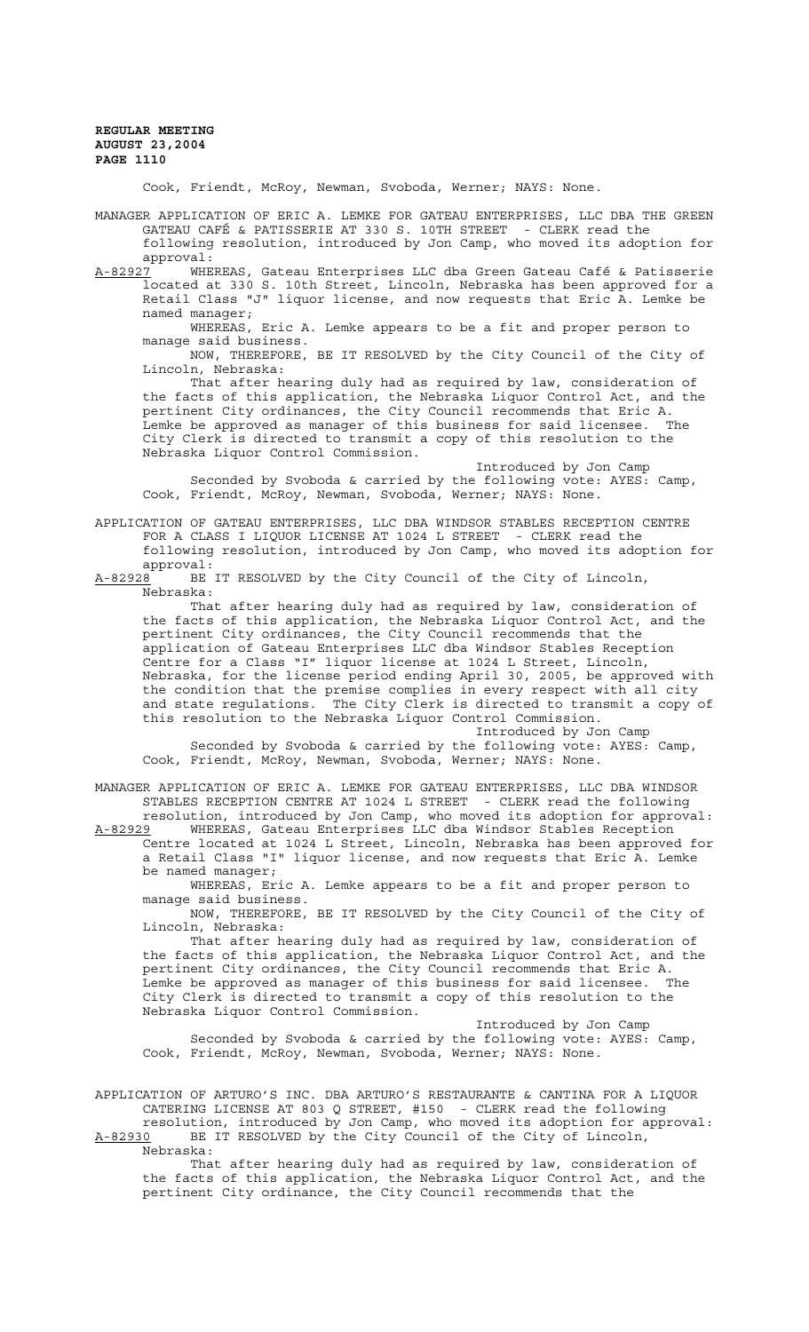Cook, Friendt, McRoy, Newman, Svoboda, Werner; NAYS: None.

MANAGER APPLICATION OF ERIC A. LEMKE FOR GATEAU ENTERPRISES, LLC DBA THE GREEN GATEAU CAFÉ & PATISSERIE AT 330 S. 10TH STREET - CLERK read the following resolution, introduced by Jon Camp, who moved its adoption for approval:

A-82927<sup>-</sup> WHEREAS, Gateau Enterprises LLC dba Green Gateau Café & Patisserie located at 330 S. 10th Street, Lincoln, Nebraska has been approved for a Retail Class "J" liquor license, and now requests that Eric A. Lemke be named manager;

WHEREAS, Eric A. Lemke appears to be a fit and proper person to manage said business.

NOW, THEREFORE, BE IT RESOLVED by the City Council of the City of Lincoln, Nebraska:

That after hearing duly had as required by law, consideration of the facts of this application, the Nebraska Liquor Control Act, and the pertinent City ordinances, the City Council recommends that Eric A. Lemke be approved as manager of this business for said licensee. The City Clerk is directed to transmit a copy of this resolution to the Nebraska Liquor Control Commission.

Introduced by Jon Camp Seconded by Svoboda & carried by the following vote: AYES: Camp, Cook, Friendt, McRoy, Newman, Svoboda, Werner; NAYS: None.

APPLICATION OF GATEAU ENTERPRISES, LLC DBA WINDSOR STABLES RECEPTION CENTRE FOR A CLASS I LIQUOR LICENSE AT 1024 L STREET - CLERK read the following resolution, introduced by Jon Camp, who moved its adoption for

approval:<br>A-82928 BE BE IT RESOLVED by the City Council of the City of Lincoln, Nebraska:

That after hearing duly had as required by law, consideration of the facts of this application, the Nebraska Liquor Control Act, and the pertinent City ordinances, the City Council recommends that the application of Gateau Enterprises LLC dba Windsor Stables Reception Centre for a Class "I" liquor license at 1024 L Street, Lincoln, Nebraska, for the license period ending April 30, 2005, be approved with the condition that the premise complies in every respect with all city and state regulations. The City Clerk is directed to transmit a copy of this resolution to the Nebraska Liquor Control Commission.

Introduced by Jon Camp Seconded by Svoboda & carried by the following vote: AYES: Camp, Cook, Friendt, McRoy, Newman, Svoboda, Werner; NAYS: None.

MANAGER APPLICATION OF ERIC A. LEMKE FOR GATEAU ENTERPRISES, LLC DBA WINDSOR STABLES RECEPTION CENTRE AT 1024 L STREET - CLERK read the following resolution, introduced by Jon Camp, who moved its adoption for approval: A-82929 WHEREAS, Gateau Enterprises LLC dba Windsor Stables Reception

Centre located at 1024 L Street, Lincoln, Nebraska has been approved for a Retail Class "I" liquor license, and now requests that Eric A. Lemke be named manager;

WHEREAS, Eric A. Lemke appears to be a fit and proper person to manage said business.

NOW, THEREFORE, BE IT RESOLVED by the City Council of the City of Lincoln, Nebraska:

That after hearing duly had as required by law, consideration of the facts of this application, the Nebraska Liquor Control Act, and the pertinent City ordinances, the City Council recommends that Eric A. Lemke be approved as manager of this business for said licensee. The City Clerk is directed to transmit a copy of this resolution to the Nebraska Liquor Control Commission.

Introduced by Jon Camp Seconded by Svoboda & carried by the following vote: AYES: Camp, Cook, Friendt, McRoy, Newman, Svoboda, Werner; NAYS: None.

APPLICATION OF ARTURO'S INC. DBA ARTURO'S RESTAURANTE & CANTINA FOR A LIQUOR CATERING LICENSE AT 803 Q STREET, #150 - CLERK read the following resolution, introduced by Jon Camp, who moved its adoption for approval: A-82930 BE IT RESOLVED by the City Council of the City of Lincoln,

Nebraska:

That after hearing duly had as required by law, consideration of the facts of this application, the Nebraska Liquor Control Act, and the pertinent City ordinance, the City Council recommends that the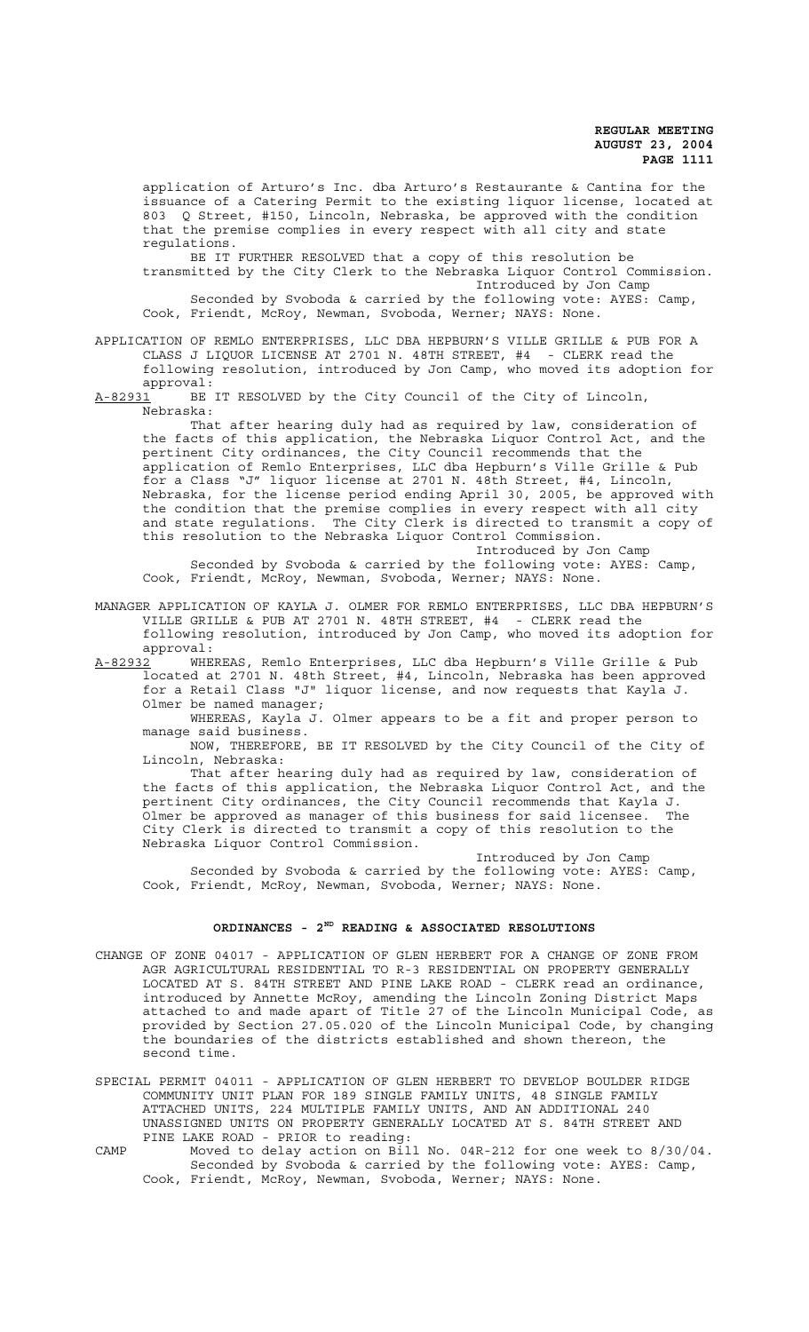application of Arturo's Inc. dba Arturo's Restaurante & Cantina for the issuance of a Catering Permit to the existing liquor license, located at 803 Q Street, #150, Lincoln, Nebraska, be approved with the condition that the premise complies in every respect with all city and state regulations.

BE IT FURTHER RESOLVED that a copy of this resolution be transmitted by the City Clerk to the Nebraska Liquor Control Commission. Introduced by Jon Camp Seconded by Svoboda & carried by the following vote: AYES: Camp, Cook, Friendt, McRoy, Newman, Svoboda, Werner; NAYS: None.

### APPLICATION OF REMLO ENTERPRISES, LLC DBA HEPBURN'S VILLE GRILLE & PUB FOR A CLASS J LIQUOR LICENSE AT 2701 N. 48TH STREET, #4 - CLERK read the following resolution, introduced by Jon Camp, who moved its adoption for approval:

A-82931 BE IT RESOLVED by the City Council of the City of Lincoln, Nebraska:

That after hearing duly had as required by law, consideration of the facts of this application, the Nebraska Liquor Control Act, and the pertinent City ordinances, the City Council recommends that the application of Remlo Enterprises, LLC dba Hepburn's Ville Grille & Pub for a Class "J" liquor license at 2701 N. 48th Street, #4, Lincoln, Nebraska, for the license period ending April 30, 2005, be approved with the condition that the premise complies in every respect with all city and state regulations. The City Clerk is directed to transmit a copy of this resolution to the Nebraska Liquor Control Commission. Introduced by Jon Camp

Seconded by Svoboda & carried by the following vote: AYES: Camp, Cook, Friendt, McRoy, Newman, Svoboda, Werner; NAYS: None.

MANAGER APPLICATION OF KAYLA J. OLMER FOR REMLO ENTERPRISES, LLC DBA HEPBURN'S VILLE GRILLE & PUB AT 2701 N. 48TH STREET, #4 - CLERK read the following resolution, introduced by Jon Camp, who moved its adoption for approval:<br><u>A-82932</u> WHE

WHEREAS, Remlo Enterprises, LLC dba Hepburn's Ville Grille & Pub located at 2701 N. 48th Street, #4, Lincoln, Nebraska has been approved for a Retail Class "J" liquor license, and now requests that Kayla J.

Olmer be named manager;

WHEREAS, Kayla J. Olmer appears to be a fit and proper person to manage said business.

NOW, THEREFORE, BE IT RESOLVED by the City Council of the City of Lincoln, Nebraska:

That after hearing duly had as required by law, consideration of the facts of this application, the Nebraska Liquor Control Act, and the pertinent City ordinances, the City Council recommends that Kayla J. Olmer be approved as manager of this business for said licensee. The City Clerk is directed to transmit a copy of this resolution to the Nebraska Liquor Control Commission.

Introduced by Jon Camp Seconded by Svoboda & carried by the following vote: AYES: Camp, Cook, Friendt, McRoy, Newman, Svoboda, Werner; NAYS: None.

#### **ORDINANCES - 2ND READING & ASSOCIATED RESOLUTIONS**

CHANGE OF ZONE 04017 - APPLICATION OF GLEN HERBERT FOR A CHANGE OF ZONE FROM AGR AGRICULTURAL RESIDENTIAL TO R-3 RESIDENTIAL ON PROPERTY GENERALLY LOCATED AT S. 84TH STREET AND PINE LAKE ROAD - CLERK read an ordinance, introduced by Annette McRoy, amending the Lincoln Zoning District Maps attached to and made apart of Title 27 of the Lincoln Municipal Code, as provided by Section 27.05.020 of the Lincoln Municipal Code, by changing the boundaries of the districts established and shown thereon, the second time.

SPECIAL PERMIT 04011 - APPLICATION OF GLEN HERBERT TO DEVELOP BOULDER RIDGE COMMUNITY UNIT PLAN FOR 189 SINGLE FAMILY UNITS, 48 SINGLE FAMILY ATTACHED UNITS, 224 MULTIPLE FAMILY UNITS, AND AN ADDITIONAL 240 UNASSIGNED UNITS ON PROPERTY GENERALLY LOCATED AT S. 84TH STREET AND PINE LAKE ROAD - PRIOR to reading:

CAMP Moved to delay action on Bill No. 04R-212 for one week to 8/30/04. Seconded by Svoboda & carried by the following vote: AYES: Camp, Cook, Friendt, McRoy, Newman, Svoboda, Werner; NAYS: None.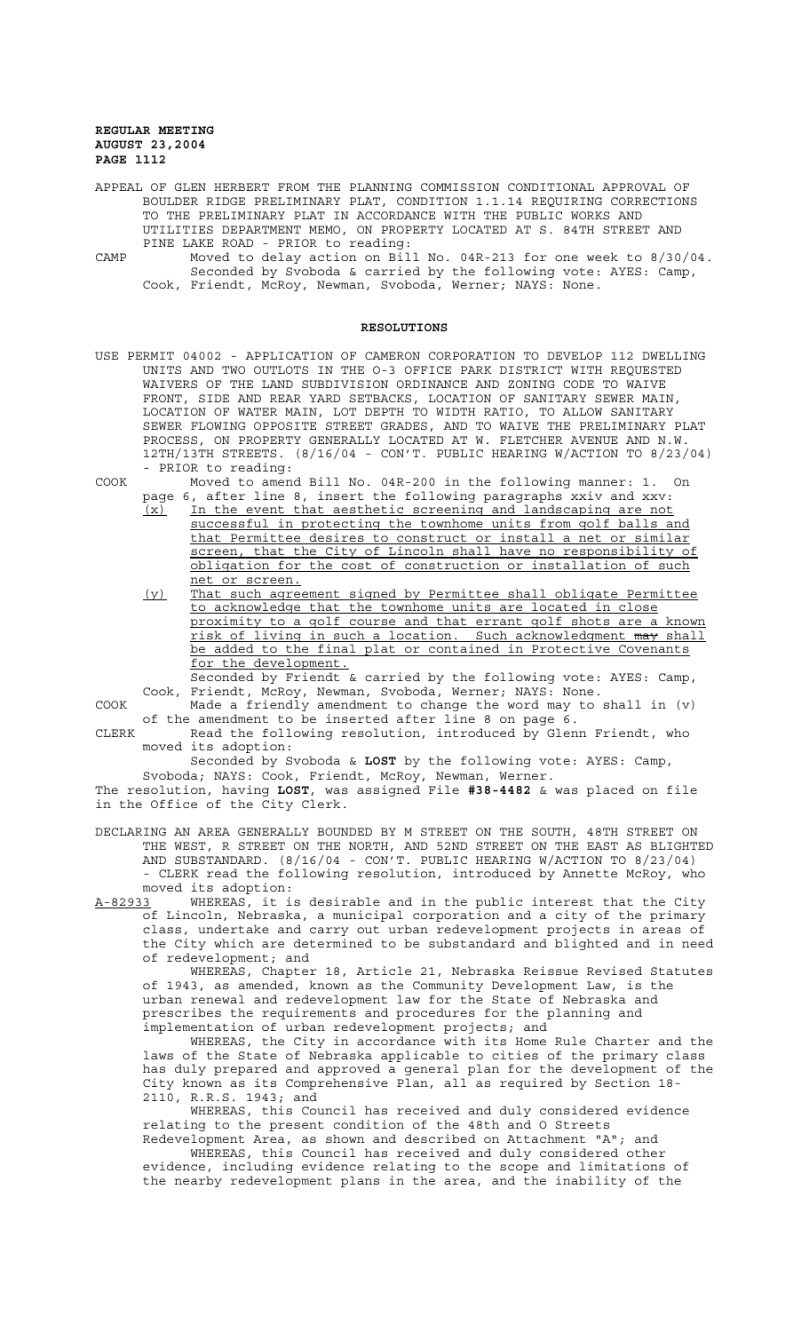APPEAL OF GLEN HERBERT FROM THE PLANNING COMMISSION CONDITIONAL APPROVAL OF BOULDER RIDGE PRELIMINARY PLAT, CONDITION 1.1.14 REQUIRING CORRECTIONS TO THE PRELIMINARY PLAT IN ACCORDANCE WITH THE PUBLIC WORKS AND UTILITIES DEPARTMENT MEMO, ON PROPERTY LOCATED AT S. 84TH STREET AND PINE LAKE ROAD - PRIOR to reading:

CAMP Moved to delay action on Bill No. 04R-213 for one week to 8/30/04. Seconded by Svoboda & carried by the following vote: AYES: Camp, Cook, Friendt, McRoy, Newman, Svoboda, Werner; NAYS: None.

#### **RESOLUTIONS**

USE PERMIT 04002 - APPLICATION OF CAMERON CORPORATION TO DEVELOP 112 DWELLING UNITS AND TWO OUTLOTS IN THE O-3 OFFICE PARK DISTRICT WITH REQUESTED WAIVERS OF THE LAND SUBDIVISION ORDINANCE AND ZONING CODE TO WAIVE FRONT, SIDE AND REAR YARD SETBACKS, LOCATION OF SANITARY SEWER MAIN, LOCATION OF WATER MAIN, LOT DEPTH TO WIDTH RATIO, TO ALLOW SANITARY SEWER FLOWING OPPOSITE STREET GRADES, AND TO WAIVE THE PRELIMINARY PLAT PROCESS, ON PROPERTY GENERALLY LOCATED AT W. FLETCHER AVENUE AND N.W. 12TH/13TH STREETS. (8/16/04 - CON'T. PUBLIC HEARING W/ACTION TO 8/23/04) - PRIOR to reading:

COOK Moved to amend Bill No. 04R-200 in the following manner: 1. On page 6, after line 8, insert the following paragraphs xxiv and xxv:

(x) In the event that aesthetic screening and landscaping are not successful in protecting the townhome units from golf balls and that Permittee desires to construct or install a net or similar screen, that the City of Lincoln shall have no responsibility of obligation for the cost of construction or installation of such net or screen.

(y) That such agreement signed by Permittee shall obligate Permittee to acknowledge that the townhome units are located in close proximity to a golf course and that errant golf shots are a known risk of living in such a location. Such acknowledgment may shall be added to the final plat or contained in Protective Covenants for the development.

Seconded by Friendt & carried by the following vote: AYES: Camp, Cook, Friendt, McRoy, Newman, Svoboda, Werner; NAYS: None.

COOK Made a friendly amendment to change the word may to shall in (v) of the amendment to be inserted after line 8 on page 6.

CLERK Read the following resolution, introduced by Glenn Friendt, who moved its adoption:

Seconded by Svoboda & **LOST** by the following vote: AYES: Camp,

Svoboda; NAYS: Cook, Friendt, McRoy, Newman, Werner. The resolution, having **LOST**, was assigned File **#38-4482** & was placed on file in the Office of the City Clerk.

DECLARING AN AREA GENERALLY BOUNDED BY M STREET ON THE SOUTH, 48TH STREET ON THE WEST, R STREET ON THE NORTH, AND 52ND STREET ON THE EAST AS BLIGHTED AND SUBSTANDARD. (8/16/04 - CON'T. PUBLIC HEARING W/ACTION TO 8/23/04) - CLERK read the following resolution, introduced by Annette McRoy, who moved its adoption:

A-82933 WHEREAS, it is desirable and in the public interest that the City of Lincoln, Nebraska, a municipal corporation and a city of the primary class, undertake and carry out urban redevelopment projects in areas of the City which are determined to be substandard and blighted and in need of redevelopment; and

WHEREAS, Chapter 18, Article 21, Nebraska Reissue Revised Statutes of 1943, as amended, known as the Community Development Law, is the urban renewal and redevelopment law for the State of Nebraska and prescribes the requirements and procedures for the planning and implementation of urban redevelopment projects; and

WHEREAS, the City in accordance with its Home Rule Charter and the laws of the State of Nebraska applicable to cities of the primary class has duly prepared and approved a general plan for the development of the City known as its Comprehensive Plan, all as required by Section 18- 2110, R.R.S. 1943; and

WHEREAS, this Council has received and duly considered evidence relating to the present condition of the 48th and O Streets Redevelopment Area, as shown and described on Attachment "A"; and

WHEREAS, this Council has received and duly considered other evidence, including evidence relating to the scope and limitations of the nearby redevelopment plans in the area, and the inability of the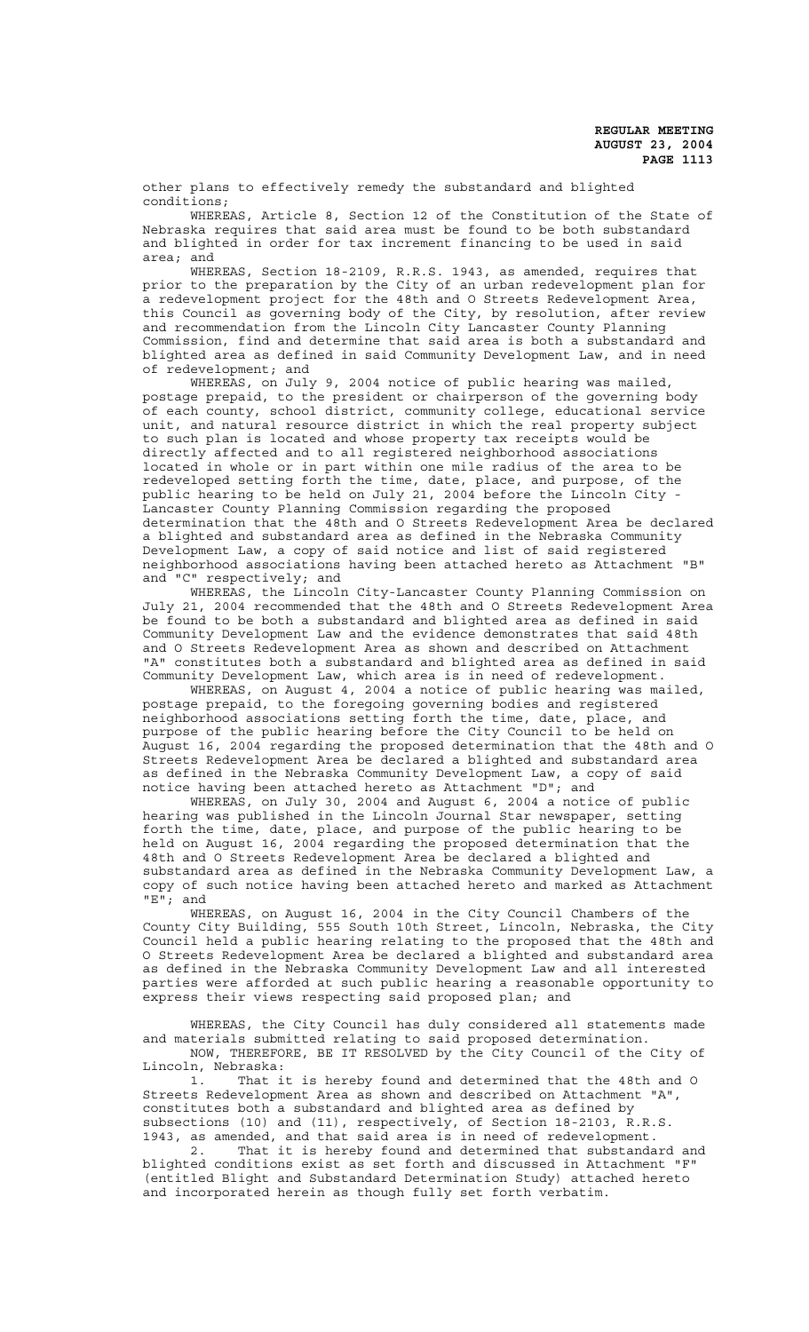other plans to effectively remedy the substandard and blighted conditions;

WHEREAS, Article 8, Section 12 of the Constitution of the State of Nebraska requires that said area must be found to be both substandard and blighted in order for tax increment financing to be used in said area; and

WHEREAS, Section 18-2109, R.R.S. 1943, as amended, requires that prior to the preparation by the City of an urban redevelopment plan for a redevelopment project for the 48th and O Streets Redevelopment Area, this Council as governing body of the City, by resolution, after review and recommendation from the Lincoln City Lancaster County Planning Commission, find and determine that said area is both a substandard and blighted area as defined in said Community Development Law, and in need of redevelopment; and

WHEREAS, on July 9, 2004 notice of public hearing was mailed, postage prepaid, to the president or chairperson of the governing body of each county, school district, community college, educational service unit, and natural resource district in which the real property subject to such plan is located and whose property tax receipts would be directly affected and to all registered neighborhood associations located in whole or in part within one mile radius of the area to be redeveloped setting forth the time, date, place, and purpose, of the public hearing to be held on July 21, 2004 before the Lincoln City - Lancaster County Planning Commission regarding the proposed determination that the 48th and O Streets Redevelopment Area be declared a blighted and substandard area as defined in the Nebraska Community Development Law, a copy of said notice and list of said registered neighborhood associations having been attached hereto as Attachment "B" and "C" respectively; and

WHEREAS, the Lincoln City-Lancaster County Planning Commission on July 21, 2004 recommended that the 48th and O Streets Redevelopment Area be found to be both a substandard and blighted area as defined in said Community Development Law and the evidence demonstrates that said 48th and O Streets Redevelopment Area as shown and described on Attachment "A" constitutes both a substandard and blighted area as defined in said Community Development Law, which area is in need of redevelopment.

WHEREAS, on August 4, 2004 a notice of public hearing was mailed, postage prepaid, to the foregoing governing bodies and registered neighborhood associations setting forth the time, date, place, and purpose of the public hearing before the City Council to be held on August 16, 2004 regarding the proposed determination that the 48th and O Streets Redevelopment Area be declared a blighted and substandard area as defined in the Nebraska Community Development Law, a copy of said notice having been attached hereto as Attachment "D"; and

WHEREAS, on July 30, 2004 and August 6, 2004 a notice of public hearing was published in the Lincoln Journal Star newspaper, setting forth the time, date, place, and purpose of the public hearing to be held on August 16, 2004 regarding the proposed determination that the 48th and O Streets Redevelopment Area be declared a blighted and substandard area as defined in the Nebraska Community Development Law, a copy of such notice having been attached hereto and marked as Attachment "E"; and

WHEREAS, on August 16, 2004 in the City Council Chambers of the County City Building, 555 South 10th Street, Lincoln, Nebraska, the City Council held a public hearing relating to the proposed that the 48th and O Streets Redevelopment Area be declared a blighted and substandard area as defined in the Nebraska Community Development Law and all interested parties were afforded at such public hearing a reasonable opportunity to express their views respecting said proposed plan; and

WHEREAS, the City Council has duly considered all statements made and materials submitted relating to said proposed determination. NOW, THEREFORE, BE IT RESOLVED by the City Council of the City of Lincoln, Nebraska:

1. That it is hereby found and determined that the 48th and O Streets Redevelopment Area as shown and described on Attachment "A", constitutes both a substandard and blighted area as defined by subsections (10) and (11), respectively, of Section 18-2103, R.R.S. 1943, as amended, and that said area is in need of redevelopment.

2. That it is hereby found and determined that substandard and blighted conditions exist as set forth and discussed in Attachment "F" (entitled Blight and Substandard Determination Study) attached hereto and incorporated herein as though fully set forth verbatim.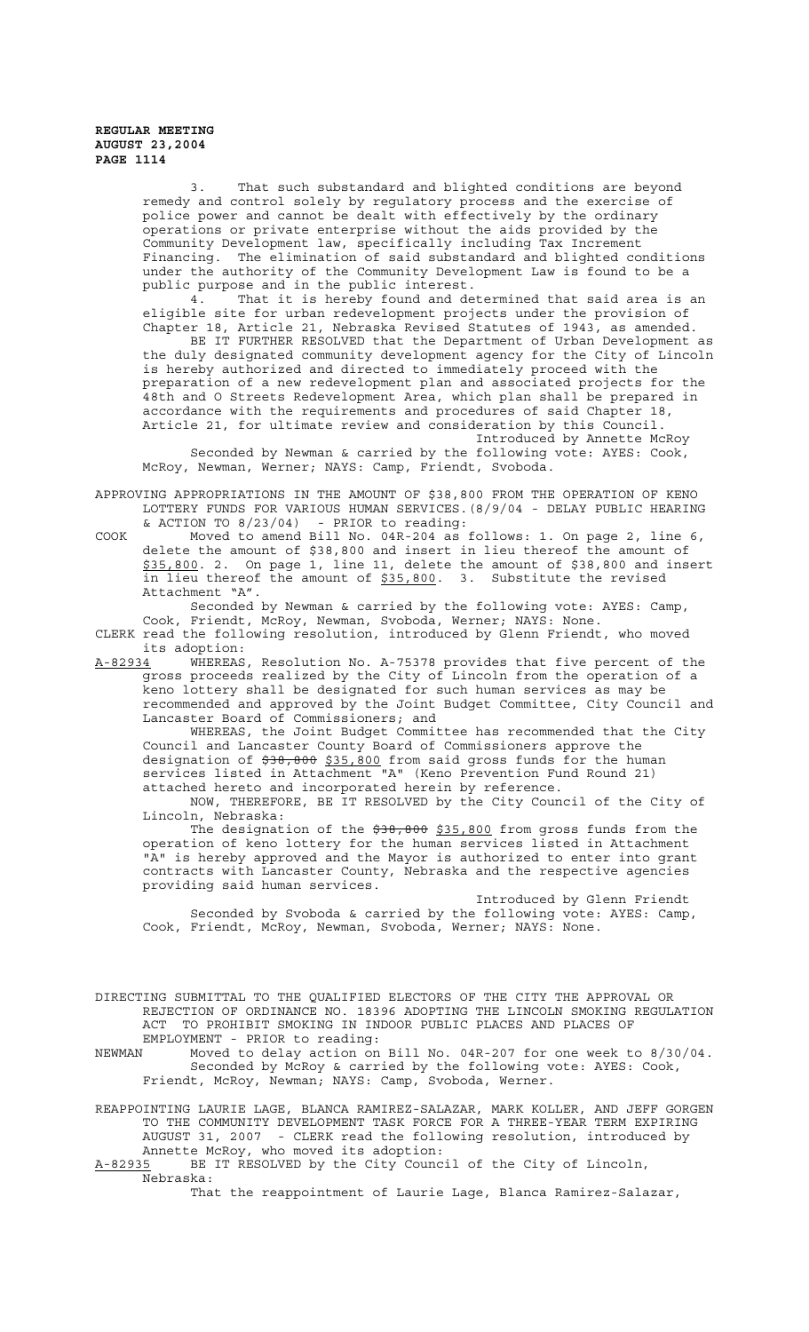> 3. That such substandard and blighted conditions are beyond remedy and control solely by regulatory process and the exercise of police power and cannot be dealt with effectively by the ordinary operations or private enterprise without the aids provided by the Community Development law, specifically including Tax Increment Financing. The elimination of said substandard and blighted conditions under the authority of the Community Development Law is found to be a public purpose and in the public interest.

> 4. That it is hereby found and determined that said area is an eligible site for urban redevelopment projects under the provision of Chapter 18, Article 21, Nebraska Revised Statutes of 1943, as amended.

> BE IT FURTHER RESOLVED that the Department of Urban Development as the duly designated community development agency for the City of Lincoln is hereby authorized and directed to immediately proceed with the preparation of a new redevelopment plan and associated projects for the 48th and O Streets Redevelopment Area, which plan shall be prepared in accordance with the requirements and procedures of said Chapter 18, Article 21, for ultimate review and consideration by this Council.

Introduced by Annette McRoy Seconded by Newman & carried by the following vote: AYES: Cook, McRoy, Newman, Werner; NAYS: Camp, Friendt, Svoboda.

- APPROVING APPROPRIATIONS IN THE AMOUNT OF \$38,800 FROM THE OPERATION OF KENO LOTTERY FUNDS FOR VARIOUS HUMAN SERVICES.(8/9/04 - DELAY PUBLIC HEARING & ACTION TO 8/23/04) - PRIOR to reading:
- COOK Moved to amend Bill No. 04R-204 as follows: 1. On page 2, line 6, delete the amount of \$38,800 and insert in lieu thereof the amount of \$35,800. 2. On page 1, line 11, delete the amount of \$38,800 and insert in lieu thereof the amount of \$35,800. 3. Substitute the revised Attachment "A".

Seconded by Newman & carried by the following vote: AYES: Camp, Cook, Friendt, McRoy, Newman, Svoboda, Werner; NAYS: None. CLERK read the following resolution, introduced by Glenn Friendt, who moved

its adoption:<br>A-82934 WHEREAS WHEREAS, Resolution No. A-75378 provides that five percent of the

gross proceeds realized by the City of Lincoln from the operation of a keno lottery shall be designated for such human services as may be recommended and approved by the Joint Budget Committee, City Council and Lancaster Board of Commissioners; and

WHEREAS, the Joint Budget Committee has recommended that the City Council and Lancaster County Board of Commissioners approve the designation of \$38,800 \$35,800 from said gross funds for the human services listed in Attachment "A" (Keno Prevention Fund Round 21) attached hereto and incorporated herein by reference.

NOW, THEREFORE, BE IT RESOLVED by the City Council of the City of Lincoln, Nebraska:

The designation of the  $$38,800$  from gross funds from the operation of keno lottery for the human services listed in Attachment "A" is hereby approved and the Mayor is authorized to enter into grant contracts with Lancaster County, Nebraska and the respective agencies providing said human services.

Introduced by Glenn Friendt Seconded by Svoboda & carried by the following vote: AYES: Camp, Cook, Friendt, McRoy, Newman, Svoboda, Werner; NAYS: None.

DIRECTING SUBMITTAL TO THE QUALIFIED ELECTORS OF THE CITY THE APPROVAL OR REJECTION OF ORDINANCE NO. 18396 ADOPTING THE LINCOLN SMOKING REGULATION ACT TO PROHIBIT SMOKING IN INDOOR PUBLIC PLACES AND PLACES OF EMPLOYMENT - PRIOR to reading:

NEWMAN Moved to delay action on Bill No. 04R-207 for one week to 8/30/04. Seconded by McRoy & carried by the following vote: AYES: Cook, Friendt, McRoy, Newman; NAYS: Camp, Svoboda, Werner.

REAPPOINTING LAURIE LAGE, BLANCA RAMIREZ-SALAZAR, MARK KOLLER, AND JEFF GORGEN TO THE COMMUNITY DEVELOPMENT TASK FORCE FOR A THREE-YEAR TERM EXPIRING AUGUST 31, 2007 - CLERK read the following resolution, introduced by Annette McRoy, who moved its adoption:<br>A-82935 BE IT RESOLVED by the City Counc

BE IT RESOLVED by the City Council of the City of Lincoln, Nebraska:

That the reappointment of Laurie Lage, Blanca Ramirez-Salazar,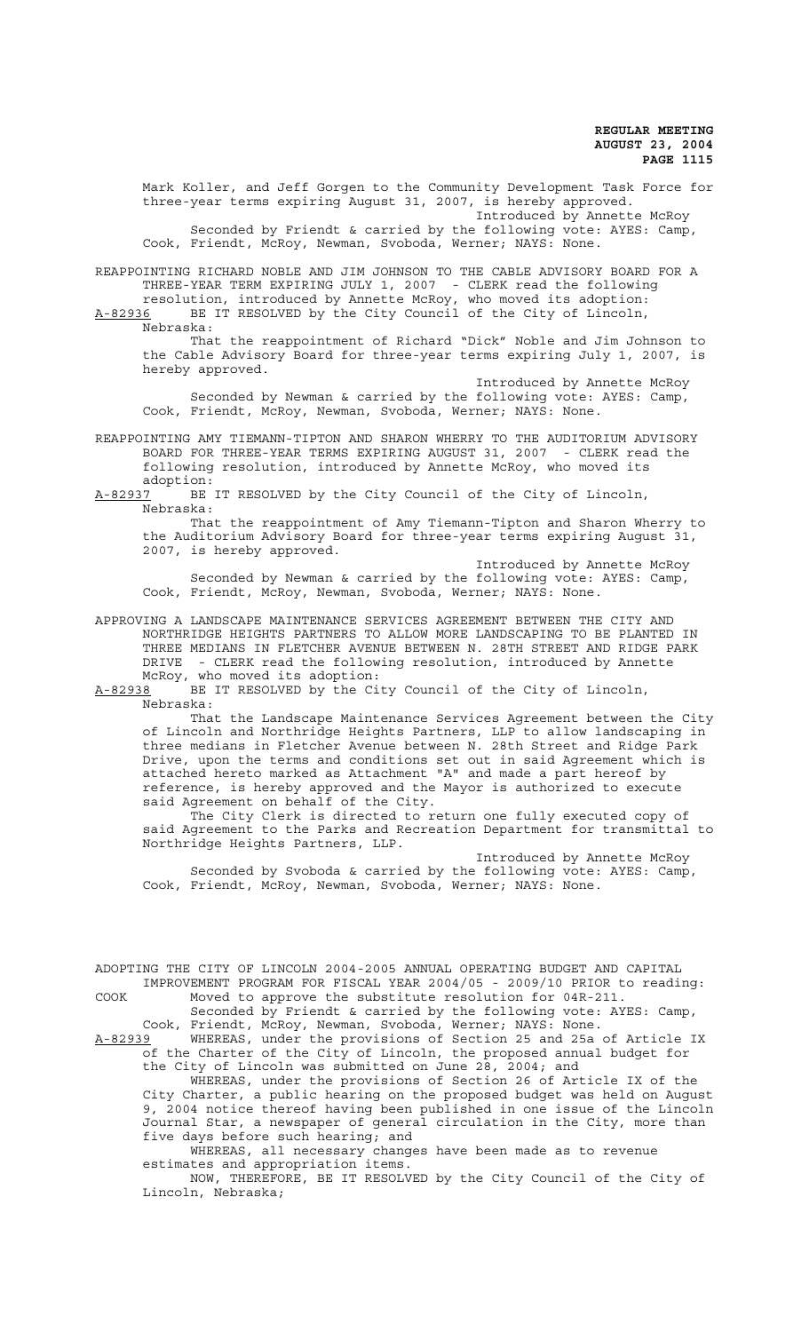Mark Koller, and Jeff Gorgen to the Community Development Task Force for three-year terms expiring August 31, 2007, is hereby approved. Introduced by Annette McRoy

Seconded by Friendt & carried by the following vote: AYES: Camp, Cook, Friendt, McRoy, Newman, Svoboda, Werner; NAYS: None.

REAPPOINTING RICHARD NOBLE AND JIM JOHNSON TO THE CABLE ADVISORY BOARD FOR A THREE-YEAR TERM EXPIRING JULY 1, 2007 - CLERK read the following resolution, introduced by Annette McRoy, who moved its adoption:

A-82936 BE IT RESOLVED by the City Council of the City of Lincoln, Nebraska:

That the reappointment of Richard "Dick" Noble and Jim Johnson to the Cable Advisory Board for three-year terms expiring July 1, 2007, is hereby approved.

Introduced by Annette McRoy Seconded by Newman & carried by the following vote: AYES: Camp, Cook, Friendt, McRoy, Newman, Svoboda, Werner; NAYS: None.

REAPPOINTING AMY TIEMANN-TIPTON AND SHARON WHERRY TO THE AUDITORIUM ADVISORY BOARD FOR THREE-YEAR TERMS EXPIRING AUGUST 31, 2007 - CLERK read the following resolution, introduced by Annette McRoy, who moved its

adoption:<br><u>A-82937</u> BE BE IT RESOLVED by the City Council of the City of Lincoln, Nebraska:

That the reappointment of Amy Tiemann-Tipton and Sharon Wherry to the Auditorium Advisory Board for three-year terms expiring August 31, 2007, is hereby approved.

Introduced by Annette McRoy Seconded by Newman & carried by the following vote: AYES: Camp, Cook, Friendt, McRoy, Newman, Svoboda, Werner; NAYS: None.

APPROVING A LANDSCAPE MAINTENANCE SERVICES AGREEMENT BETWEEN THE CITY AND NORTHRIDGE HEIGHTS PARTNERS TO ALLOW MORE LANDSCAPING TO BE PLANTED IN THREE MEDIANS IN FLETCHER AVENUE BETWEEN N. 28TH STREET AND RIDGE PARK DRIVE - CLERK read the following resolution, introduced by Annette McRoy, who moved its adoption:

A-82938 BE IT RESOLVED by the City Council of the City of Lincoln, Nebraska:

That the Landscape Maintenance Services Agreement between the City of Lincoln and Northridge Heights Partners, LLP to allow landscaping in three medians in Fletcher Avenue between N. 28th Street and Ridge Park Drive, upon the terms and conditions set out in said Agreement which is attached hereto marked as Attachment "A" and made a part hereof by reference, is hereby approved and the Mayor is authorized to execute said Agreement on behalf of the City.

The City Clerk is directed to return one fully executed copy of said Agreement to the Parks and Recreation Department for transmittal to Northridge Heights Partners, LLP.

Introduced by Annette McRoy Seconded by Svoboda & carried by the following vote: AYES: Camp, Cook, Friendt, McRoy, Newman, Svoboda, Werner; NAYS: None.

ADOPTING THE CITY OF LINCOLN 2004-2005 ANNUAL OPERATING BUDGET AND CAPITAL IMPROVEMENT PROGRAM FOR FISCAL YEAR 2004/05 - 2009/10 PRIOR to reading: COOK Moved to approve the substitute resolution for 04R-211.

Seconded by Friendt & carried by the following vote: AYES: Camp, Cook, Friendt, McRoy, Newman, Svoboda, Werner; NAYS: None.

A-82939 WHEREAS, under the provisions of Section 25 and 25a of Article IX of the Charter of the City of Lincoln, the proposed annual budget for the City of Lincoln was submitted on June 28, 2004; and

WHEREAS, under the provisions of Section 26 of Article IX of the City Charter, a public hearing on the proposed budget was held on August 9, 2004 notice thereof having been published in one issue of the Lincoln Journal Star, a newspaper of general circulation in the City, more than five days before such hearing; and

WHEREAS, all necessary changes have been made as to revenue estimates and appropriation items.

NOW, THEREFORE, BE IT RESOLVED by the City Council of the City of Lincoln, Nebraska;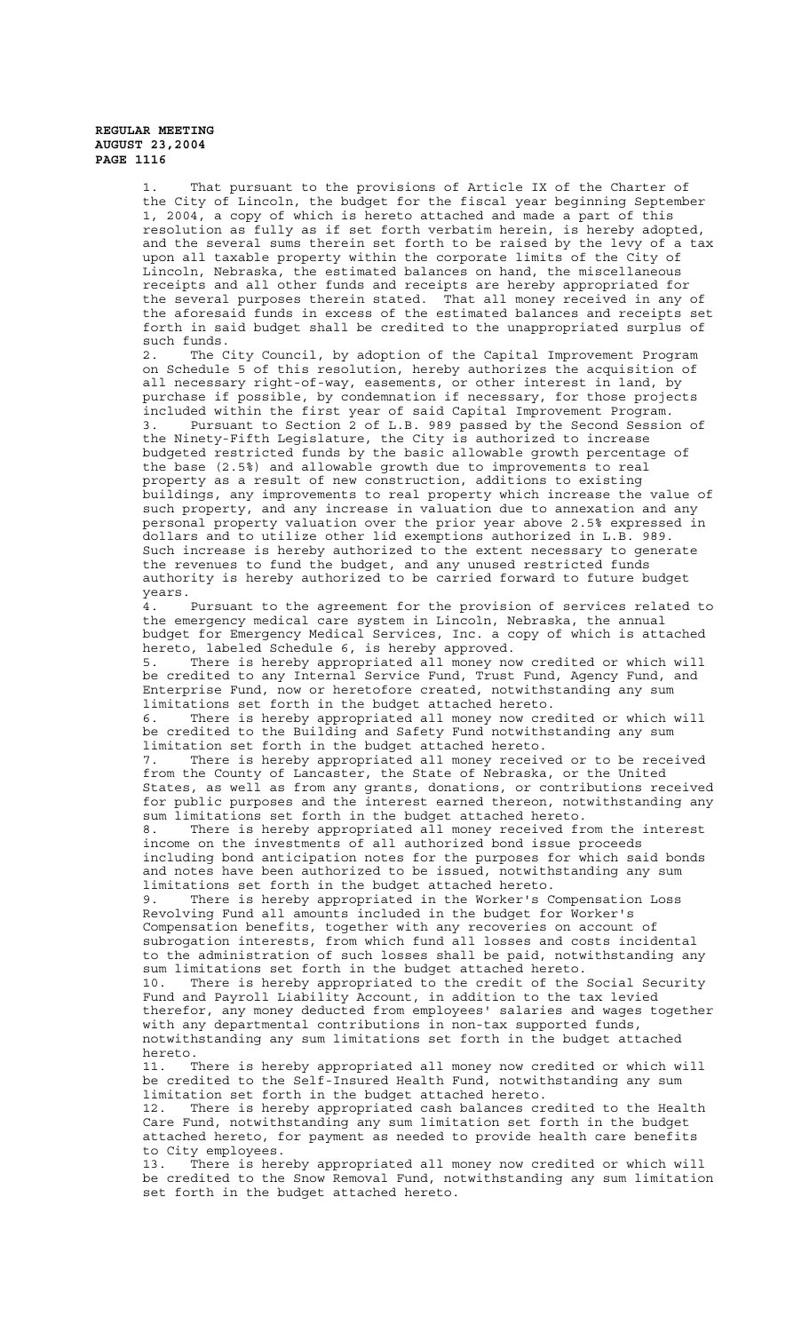1. That pursuant to the provisions of Article IX of the Charter of the City of Lincoln, the budget for the fiscal year beginning September 1, 2004, a copy of which is hereto attached and made a part of this resolution as fully as if set forth verbatim herein, is hereby adopted, and the several sums therein set forth to be raised by the levy of a tax upon all taxable property within the corporate limits of the City of Lincoln, Nebraska, the estimated balances on hand, the miscellaneous receipts and all other funds and receipts are hereby appropriated for the several purposes therein stated. That all money received in any of the aforesaid funds in excess of the estimated balances and receipts set forth in said budget shall be credited to the unappropriated surplus of such funds. 2. The City Council, by adoption of the Capital Improvement Program on Schedule 5 of this resolution, hereby authorizes the acquisition of all necessary right-of-way, easements, or other interest in land, by purchase if possible, by condemnation if necessary, for those projects included within the first year of said Capital Improvement Program. 3. Pursuant to Section 2 of L.B. 989 passed by the Second Session of the Ninety-Fifth Legislature, the City is authorized to increase budgeted restricted funds by the basic allowable growth percentage of the base (2.5%) and allowable growth due to improvements to real property as a result of new construction, additions to existing buildings, any improvements to real property which increase the value of such property, and any increase in valuation due to annexation and any personal property valuation over the prior year above 2.5% expressed in dollars and to utilize other lid exemptions authorized in L.B. 989. Such increase is hereby authorized to the extent necessary to generate the revenues to fund the budget, and any unused restricted funds authority is hereby authorized to be carried forward to future budget years. 4. Pursuant to the agreement for the provision of services related to the emergency medical care system in Lincoln, Nebraska, the annual budget for Emergency Medical Services, Inc. a copy of which is attached hereto, labeled Schedule 6, is hereby approved. 5. There is hereby appropriated all money now credited or which will be credited to any Internal Service Fund, Trust Fund, Agency Fund, and Enterprise Fund, now or heretofore created, notwithstanding any sum limitations set forth in the budget attached hereto. 6. There is hereby appropriated all money now credited or which will be credited to the Building and Safety Fund notwithstanding any sum limitation set forth in the budget attached hereto. 7. There is hereby appropriated all money received or to be received from the County of Lancaster, the State of Nebraska, or the United States, as well as from any grants, donations, or contributions received for public purposes and the interest earned thereon, notwithstanding any sum limitations set forth in the budget attached hereto. 8. There is hereby appropriated all money received from the interest income on the investments of all authorized bond issue proceeds including bond anticipation notes for the purposes for which said bonds and notes have been authorized to be issued, notwithstanding any sum limitations set forth in the budget attached hereto. 9. There is hereby appropriated in the Worker's Compensation Loss Revolving Fund all amounts included in the budget for Worker's Compensation benefits, together with any recoveries on account of subrogation interests, from which fund all losses and costs incidental to the administration of such losses shall be paid, notwithstanding any sum limitations set forth in the budget attached hereto. 10. There is hereby appropriated to the credit of the Social Security Fund and Payroll Liability Account, in addition to the tax levied therefor, any money deducted from employees' salaries and wages together with any departmental contributions in non-tax supported funds, notwithstanding any sum limitations set forth in the budget attached hereto. 11. There is hereby appropriated all money now credited or which will be credited to the Self-Insured Health Fund, notwithstanding any sum limitation set forth in the budget attached hereto. 12. There is hereby appropriated cash balances credited to the Health Care Fund, notwithstanding any sum limitation set forth in the budget attached hereto, for payment as needed to provide health care benefits to City employees. 13. There is hereby appropriated all money now credited or which will

be credited to the Snow Removal Fund, notwithstanding any sum limitation set forth in the budget attached hereto.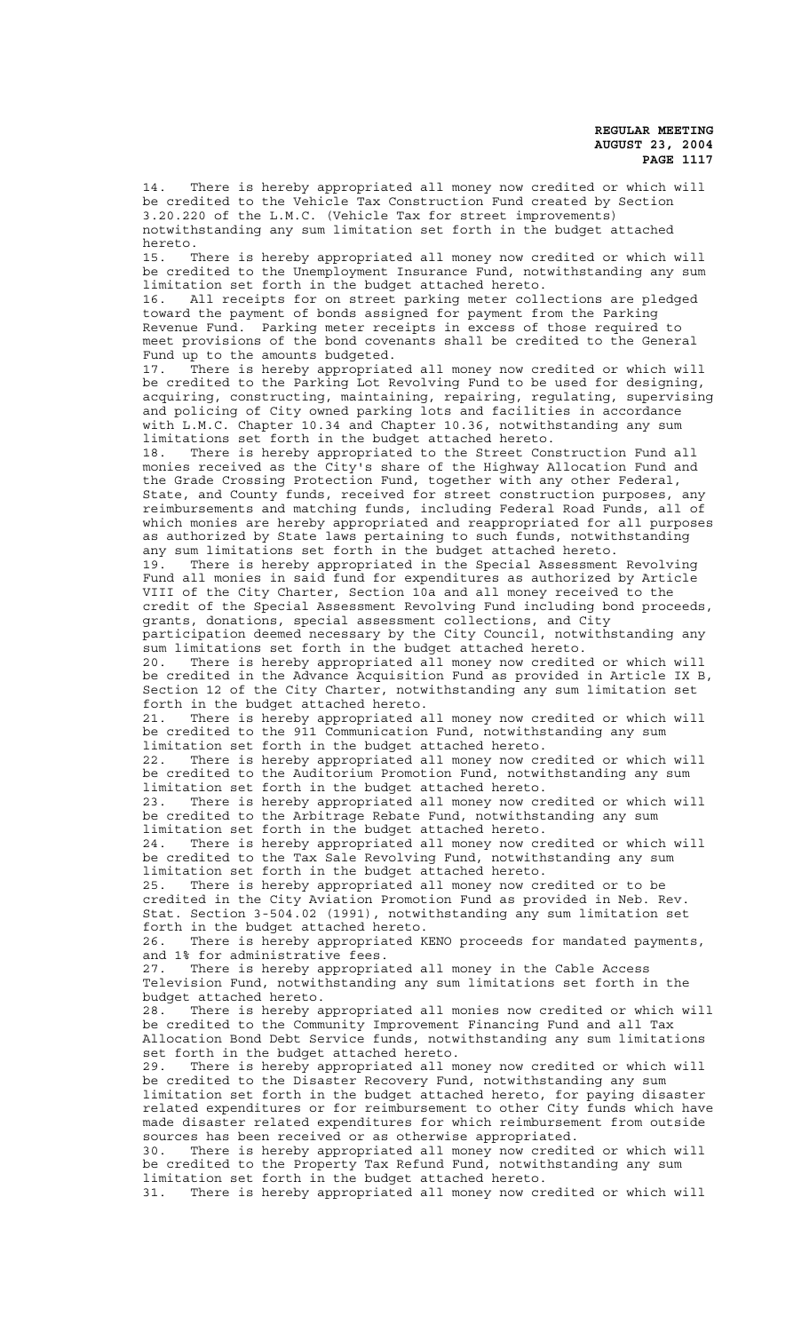14. There is hereby appropriated all money now credited or which will be credited to the Vehicle Tax Construction Fund created by Section 3.20.220 of the L.M.C. (Vehicle Tax for street improvements) notwithstanding any sum limitation set forth in the budget attached hereto. 15. There is hereby appropriated all money now credited or which will be credited to the Unemployment Insurance Fund, notwithstanding any sum limitation set forth in the budget attached hereto. 16. All receipts for on street parking meter collections are pledged toward the payment of bonds assigned for payment from the Parking Revenue Fund. Parking meter receipts in excess of those required to meet provisions of the bond covenants shall be credited to the General Fund up to the amounts budgeted. 17. There is hereby appropriated all money now credited or which will be credited to the Parking Lot Revolving Fund to be used for designing, acquiring, constructing, maintaining, repairing, regulating, supervising and policing of City owned parking lots and facilities in accordance with L.M.C. Chapter 10.34 and Chapter 10.36, notwithstanding any sum limitations set forth in the budget attached hereto. 18. There is hereby appropriated to the Street Construction Fund all monies received as the City's share of the Highway Allocation Fund and the Grade Crossing Protection Fund, together with any other Federal, State, and County funds, received for street construction purposes, any reimbursements and matching funds, including Federal Road Funds, all of which monies are hereby appropriated and reappropriated for all purposes as authorized by State laws pertaining to such funds, notwithstanding any sum limitations set forth in the budget attached hereto. 19. There is hereby appropriated in the Special Assessment Revolving Fund all monies in said fund for expenditures as authorized by Article VIII of the City Charter, Section 10a and all money received to the credit of the Special Assessment Revolving Fund including bond proceeds, grants, donations, special assessment collections, and City participation deemed necessary by the City Council, notwithstanding any sum limitations set forth in the budget attached hereto. 20. There is hereby appropriated all money now credited or which will be credited in the Advance Acquisition Fund as provided in Article IX B, Section 12 of the City Charter, notwithstanding any sum limitation set forth in the budget attached hereto. 21. There is hereby appropriated all money now credited or which will be credited to the 911 Communication Fund, notwithstanding any sum limitation set forth in the budget attached hereto. 22. There is hereby appropriated all money now credited or which will be credited to the Auditorium Promotion Fund, notwithstanding any sum limitation set forth in the budget attached hereto. 23. There is hereby appropriated all money now credited or which will be credited to the Arbitrage Rebate Fund, notwithstanding any sum limitation set forth in the budget attached hereto. 24. There is hereby appropriated all money now credited or which will be credited to the Tax Sale Revolving Fund, notwithstanding any sum limitation set forth in the budget attached hereto. 25. There is hereby appropriated all money now credited or to be credited in the City Aviation Promotion Fund as provided in Neb. Rev. Stat. Section 3-504.02 (1991), notwithstanding any sum limitation set forth in the budget attached hereto. 26. There is hereby appropriated KENO proceeds for mandated payments, and 1% for administrative fees. 27. There is hereby appropriated all money in the Cable Access Television Fund, notwithstanding any sum limitations set forth in the budget attached hereto. 28. There is hereby appropriated all monies now credited or which will be credited to the Community Improvement Financing Fund and all Tax Allocation Bond Debt Service funds, notwithstanding any sum limitations set forth in the budget attached hereto.<br>29. There is hereby appropriated all mo There is hereby appropriated all money now credited or which will be credited to the Disaster Recovery Fund, notwithstanding any sum limitation set forth in the budget attached hereto, for paying disaster related expenditures or for reimbursement to other City funds which have made disaster related expenditures for which reimbursement from outside sources has been received or as otherwise appropriated. 30. There is hereby appropriated all money now credited or which will be credited to the Property Tax Refund Fund, notwithstanding any sum limitation set forth in the budget attached hereto. 31. There is hereby appropriated all money now credited or which will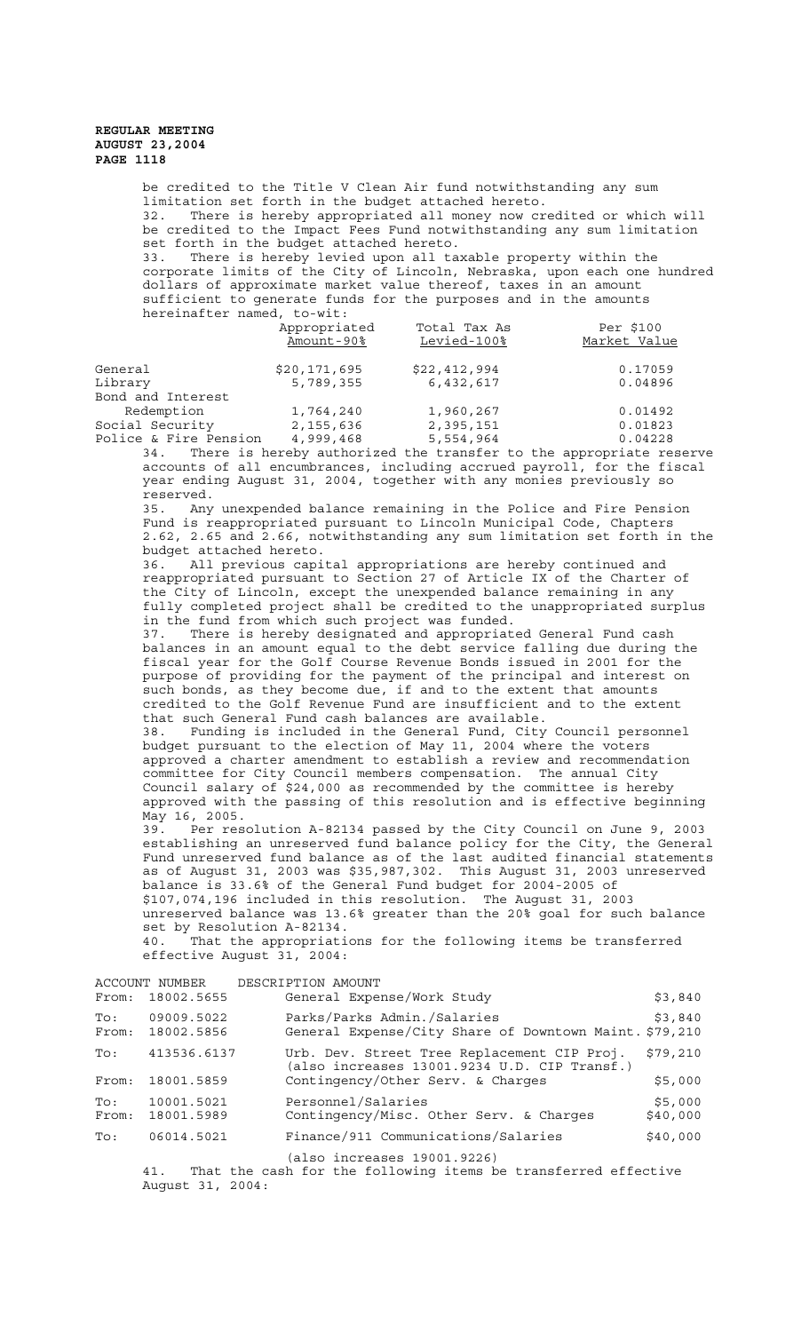be credited to the Title V Clean Air fund notwithstanding any sum limitation set forth in the budget attached hereto. 32. There is hereby appropriated all money now credited or which will be credited to the Impact Fees Fund notwithstanding any sum limitation set forth in the budget attached hereto. 33. There is hereby levied upon all taxable property within the corporate limits of the City of Lincoln, Nebraska, upon each one hundred dollars of approximate market value thereof, taxes in an amount sufficient to generate funds for the purposes and in the amounts hereinafter named, to-wit: Appropriated Total Tax As Per \$100 Amount-90% Levied-100% Market Value General  $$20,171,695$   $$22,412,994$  0.17059<br>
Library 5,789,355 6,432,617 0.04896 5,789,355 Bond and Interest Redemption 1,764,240 1,960,267 0.01492<br>
ial Security 2,155,636 2,395,151 0.01823<br>
ice & Fire Pension 4,999,468 5,554,964 0.04228 Social Security 2,155,636 2,395,151 0.01823<br>
Police & Fire Pension 4,999,468 5,554,964 0.04228 Police & Fire Pension 4,999,468 5,554,964 0.04228 34. There is hereby authorized the transfer to the appropriate reserve accounts of all encumbrances, including accrued payroll, for the fiscal year ending August 31, 2004, together with any monies previously so reserved. 35. Any unexpended balance remaining in the Police and Fire Pension Fund is reappropriated pursuant to Lincoln Municipal Code, Chapters 2.62, 2.65 and 2.66, notwithstanding any sum limitation set forth in the budget attached hereto. 36. All previous capital appropriations are hereby continued and reappropriated pursuant to Section 27 of Article IX of the Charter of the City of Lincoln, except the unexpended balance remaining in any fully completed project shall be credited to the unappropriated surplus in the fund from which such project was funded. 37. There is hereby designated and appropriated General Fund cash balances in an amount equal to the debt service falling due during the fiscal year for the Golf Course Revenue Bonds issued in 2001 for the purpose of providing for the payment of the principal and interest on such bonds, as they become due, if and to the extent that amounts credited to the Golf Revenue Fund are insufficient and to the extent that such General Fund cash balances are available. Funding is included in the General Fund, City Council personnel budget pursuant to the election of May 11, 2004 where the voters approved a charter amendment to establish a review and recommendation committee for City Council members compensation. The annual City Council salary of \$24,000 as recommended by the committee is hereby approved with the passing of this resolution and is effective beginning May 16, 2005. 39. Per resolution A-82134 passed by the City Council on June 9, 2003 establishing an unreserved fund balance policy for the City, the General Fund unreserved fund balance as of the last audited financial statements as of August 31, 2003 was \$35,987,302. This August 31, 2003 unreserved balance is 33.6% of the General Fund budget for 2004-2005 of \$107,074,196 included in this resolution. The August 31, 2003 unreserved balance was 13.6% greater than the 20% goal for such balance set by Resolution A-82134. 40. That the appropriations for the following items be transferred effective August 31, 2004: ACCOUNT NUMBER DESCRIPTION AMOUNT<br>From: 18002.5655 General Exper General Expense/Work Study \$3,840 53,840 To: 09009.5022 Parks/Parks Admin./Salaries<br>From: 18002.5856 General Expense/City Share of Downtown Maint.\$79,210 General Expense/City Share of Downtown Maint. \$79,210 To: 413536.6137 Urb. Dev. Street Tree Replacement CIP Proj. \$79,210 (also increases 13001.9234 U.D. CIP Transf.) From: 18001.5859 Contingency/Other Serv. & Charges \$5,000

To: 10001.5021 Personnel/Salaries<br>From: 18001.5989 Contingency/Misc. Other Serv. & Charges \$40,000  $Contingency/Misc. Other Serv. & Charges$  \$40,000 To: 06014.5021 Finance/911 Communications/Salaries \$40,000 (also increases 19001.9226)

41. That the cash for the following items be transferred effective August 31, 2004: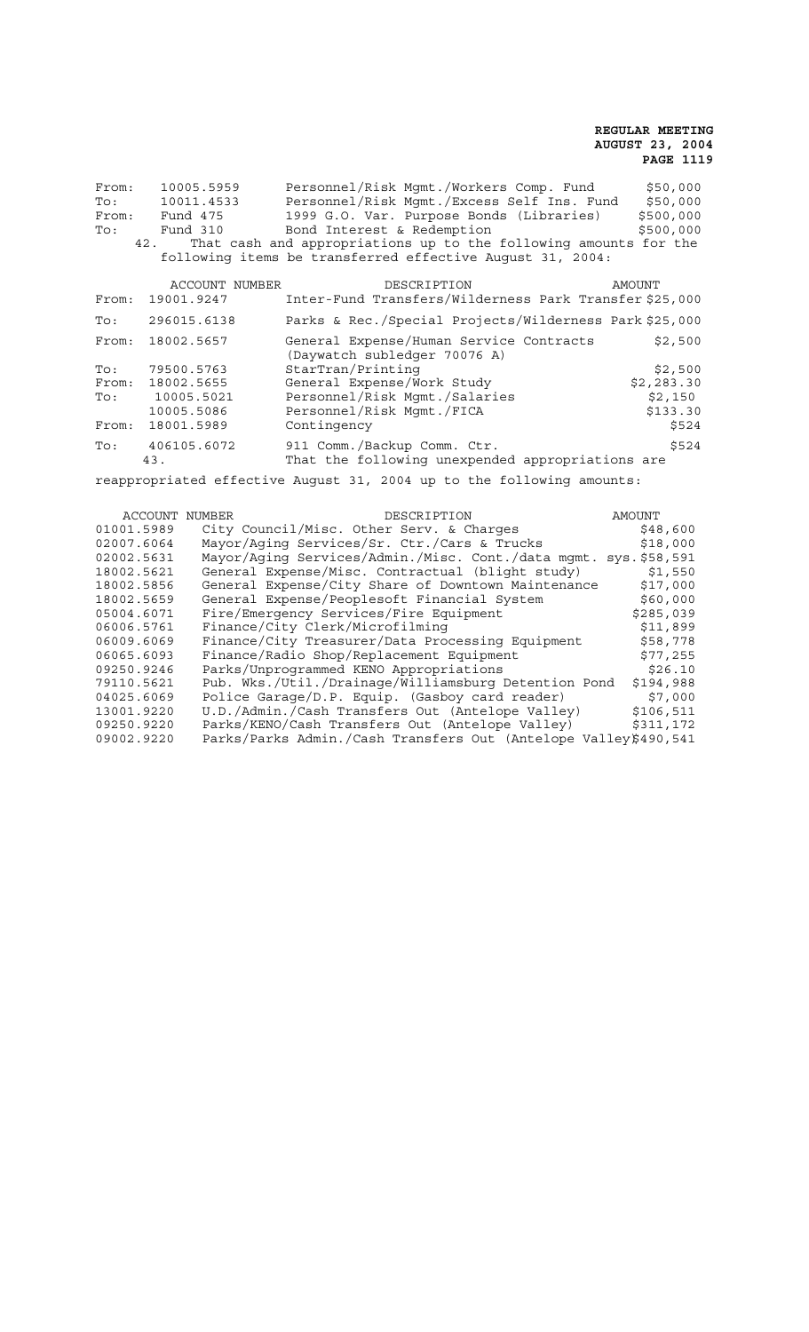| From:        | 10005.5959     | Personnel/Risk Mgmt./Workers Comp. Fund<br>\$50,000                                |
|--------------|----------------|------------------------------------------------------------------------------------|
| To:          | 10011.4533     | Personnel/Risk Mqmt./Excess Self Ins. Fund<br>\$50,000                             |
|              | From: Fund 475 | 1999 G.O. Var. Purpose Bonds (Libraries)<br>\$500,000                              |
| To:          | Fund 310       | \$500,000<br>Bond Interest & Redemption                                            |
|              |                | 42. That cash and appropriations up to the following amounts for the               |
|              |                | following items be transferred effective August 31, 2004:                          |
|              | ACCOUNT NUMBER | DESCRIPTION<br>AMOUNT                                                              |
| From:        | 19001.9247     | Inter-Fund Transfers/Wilderness Park Transfer \$25,000                             |
| $\text{To}:$ | 296015.6138    | Parks & Rec./Special Projects/Wilderness Park \$25,000                             |
| From:        | 18002.5657     | General Expense/Human Service Contracts<br>\$2,500<br>(Daywatch subledger 70076 A) |
| To:          | 79500.5763     | StarTran/Printing<br>\$2,500                                                       |
| From:        | 18002.5655     | General Expense/Work Study<br>\$2,283.30                                           |
| To:          | 10005.5021     | Personnel/Risk Mqmt./Salaries<br>\$2,150                                           |
|              | 10005.5086     | Personnel/Risk Mgmt./FICA<br>\$133.30                                              |
| From:        | 18001.5989     | Contingency<br>\$524                                                               |
| To:          | 406105.6072    | 911 Comm./Backup Comm. Ctr.<br>\$524                                               |
|              | 43.            | That the following unexpended appropriations are                                   |
|              |                |                                                                                    |

reappropriated effective August 31, 2004 up to the following amounts:

| ACCOUNT NUMBER | DESCRIPTION                                                     | AMOUNT    |
|----------------|-----------------------------------------------------------------|-----------|
| 01001.5989     | City Council/Misc. Other Serv. & Charges                        | \$48,600  |
| 02007.6064     | Mayor/Aging Services/Sr. Ctr./Cars & Trucks                     | \$18,000  |
| 02002.5631     | Mayor/Aging Services/Admin./Misc. Cont./data mgmt. sys.\$58,591 |           |
| 18002.5621     | General Expense/Misc. Contractual (blight study)                | \$1,550   |
| 18002.5856     | General Expense/City Share of Downtown Maintenance              | \$17,000  |
| 18002.5659     | General Expense/Peoplesoft Financial System                     | \$60,000  |
| 05004.6071     | Fire/Emergency Services/Fire Equipment                          | \$285,039 |
| 06006.5761     | Finance/City Clerk/Microfilming                                 | \$11,899  |
| 06009.6069     | Finance/City Treasurer/Data Processing Equipment                | \$58,778  |
| 06065.6093     | Finance/Radio Shop/Replacement Equipment                        | \$77,255  |
| 09250.9246     | Parks/Unprogrammed KENO Appropriations                          | \$26.10   |
| 79110.5621     | Pub. Wks./Util./Drainage/Williamsburg Detention Pond            | \$194,988 |
| 04025.6069     | Police Garage/D.P. Equip. (Gasboy card reader)                  | \$7,000   |
| 13001.9220     | U.D./Admin./Cash Transfers Out (Antelope Valley)                | \$106,511 |
| 09250.9220     | Parks/KENO/Cash Transfers Out (Antelope Valley)                 | \$311,172 |
| 09002.9220     | Parks/Parks Admin./Cash Transfers Out (Antelope Valley\$490,541 |           |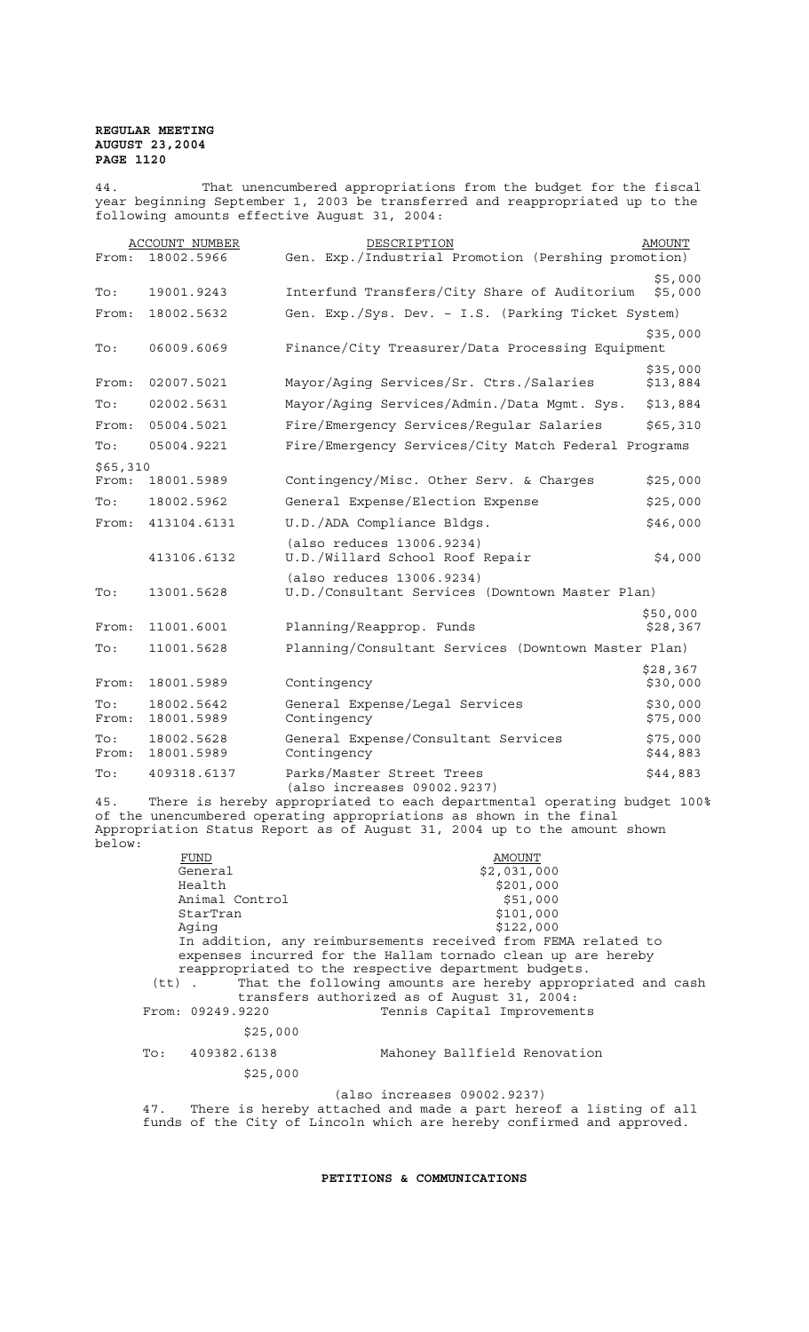44. That unencumbered appropriations from the budget for the fiscal year beginning September 1, 2003 be transferred and reappropriated up to the following amounts effective August 31, 2004:

| From:             | <b>ACCOUNT NUMBER</b><br>18002.5966 | DESCRIPTION<br>Gen. Exp./Industrial Promotion (Pershing promotion)                                                                                                                                                        | AMOUNT               |
|-------------------|-------------------------------------|---------------------------------------------------------------------------------------------------------------------------------------------------------------------------------------------------------------------------|----------------------|
|                   |                                     |                                                                                                                                                                                                                           | \$5,000              |
| To:               | 19001.9243                          | Interfund Transfers/City Share of Auditorium                                                                                                                                                                              | \$5,000              |
| From:             | 18002.5632                          | Gen. Exp./Sys. Dev. - I.S. (Parking Ticket System)                                                                                                                                                                        |                      |
| To:               | 06009.6069                          | Finance/City Treasurer/Data Processing Equipment                                                                                                                                                                          | \$35,000             |
| From:             | 02007.5021                          | Mayor/Aging Services/Sr. Ctrs./Salaries                                                                                                                                                                                   | \$35,000<br>\$13,884 |
| To:               | 02002.5631                          | Mayor/Aging Services/Admin./Data Mgmt. Sys.                                                                                                                                                                               | \$13,884             |
| From:             | 05004.5021                          | Fire/Emergency Services/Regular Salaries                                                                                                                                                                                  | \$65,310             |
| To:               | 05004.9221                          | Fire/Emergency Services/City Match Federal Programs                                                                                                                                                                       |                      |
| \$65,310<br>From: | 18001.5989                          | Contingency/Misc. Other Serv. & Charges                                                                                                                                                                                   | \$25,000             |
| To:               | 18002.5962                          | General Expense/Election Expense                                                                                                                                                                                          | \$25,000             |
| From:             | 413104.6131                         | U.D./ADA Compliance Bldgs.                                                                                                                                                                                                | \$46,000             |
|                   | 413106.6132                         | (also reduces 13006.9234)<br>U.D./Willard School Roof Repair                                                                                                                                                              | \$4,000              |
| To:               | 13001.5628                          | (also reduces 13006.9234)<br>U.D./Consultant Services (Downtown Master Plan)                                                                                                                                              |                      |
| From:             | 11001.6001                          | Planning/Reapprop. Funds                                                                                                                                                                                                  | \$50,000<br>\$28,367 |
| To:               | 11001.5628                          | Planning/Consultant Services (Downtown Master Plan)                                                                                                                                                                       |                      |
| From:             | 18001.5989                          | Contingency                                                                                                                                                                                                               | \$28,367<br>\$30,000 |
| To:<br>From:      | 18002.5642<br>18001.5989            | General Expense/Legal Services<br>Contingency                                                                                                                                                                             | \$30,000<br>\$75,000 |
| To:<br>From:      | 18002.5628<br>18001.5989            | General Expense/Consultant Services<br>Contingency                                                                                                                                                                        | \$75,000<br>\$44,883 |
| To:               | 409318.6137                         | Parks/Master Street Trees<br>(also increases 09002.9237)                                                                                                                                                                  | \$44,883             |
| 45.<br>below:     |                                     | There is hereby appropriated to each departmental operating budget 100%<br>of the unencumbered operating appropriations as shown in the final<br>Appropriation Status Report as of August 31, 2004 up to the amount shown |                      |

FUND AMOUNT<br>General \$2,031,0  $\frac{1}{2,031,000}$ <br>  $\frac{1}{2,031,000}$ <br>
Health  $\frac{2}{2}$ \$201,000 Animal Control Animal Control (1995)<br>
StarTran (1996)<br>
Aging (1996)<br>
Aging (1996)<br>
StarTran (1999)<br>
StarTran (1999) \$122,000 In addition, any reimbursements received from FEMA related to expenses incurred for the Hallam tornado clean up are hereby reappropriated to the respective department budgets.<br>(tt) . That the following amounts are hereby appropr (tt) . That the following amounts are hereby appropriated and cash transfers authorized as of August 31, 2004: From: 09249.9220 Tennis Capital Improvements \$25,000 To: 409382.6138 Mahoney Ballfield Renovation \$25,000 (also increases 09002.9237) 47. There is hereby attached and made a part hereof a listing of all

**PETITIONS & COMMUNICATIONS** 

funds of the City of Lincoln which are hereby confirmed and approved.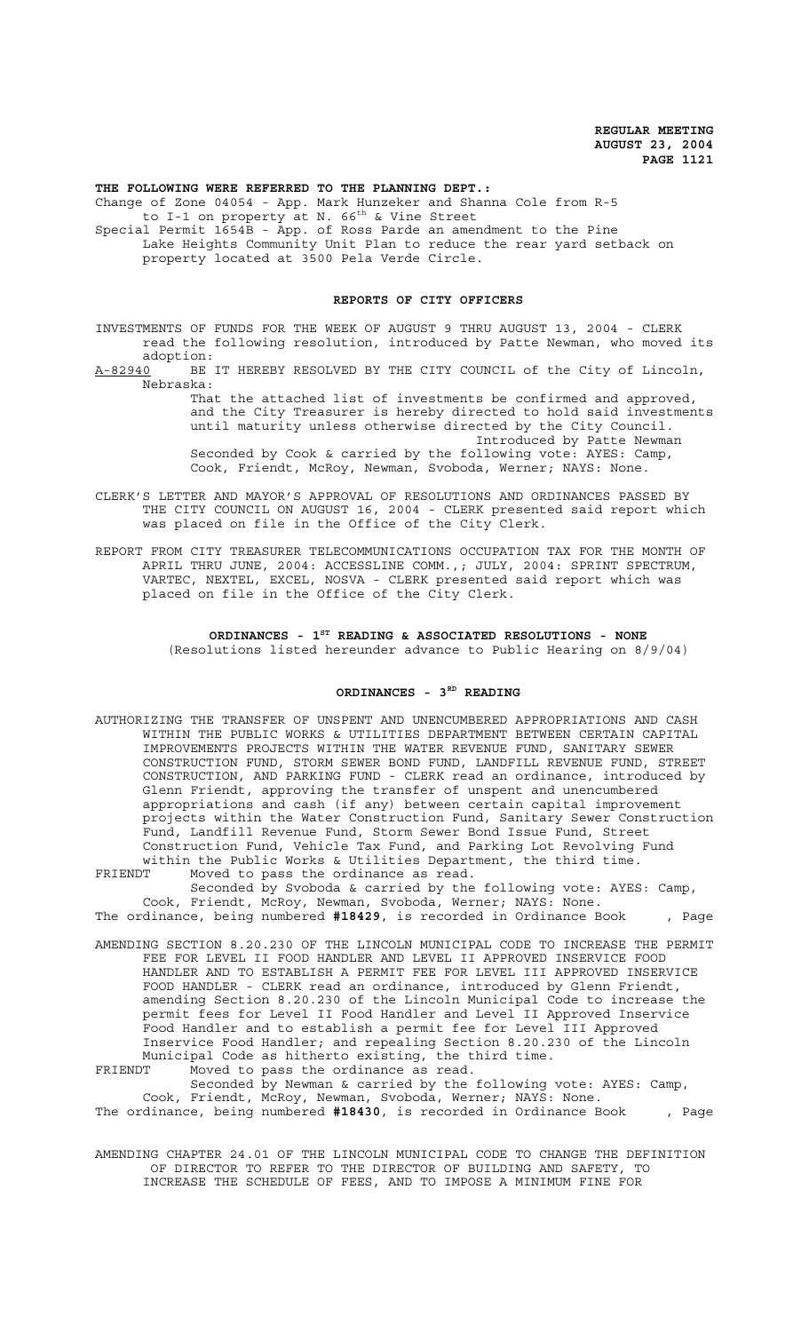**THE FOLLOWING WERE REFERRED TO THE PLANNING DEPT.:** Change of Zone 04054 - App. Mark Hunzeker and Shanna Cole from R-5 to I-1 on property at N.  $66^{th}$  & Vine Street Special Permit 1654B - App. of Ross Parde an amendment to the Pine Lake Heights Community Unit Plan to reduce the rear yard setback on property located at 3500 Pela Verde Circle.

#### **REPORTS OF CITY OFFICERS**

INVESTMENTS OF FUNDS FOR THE WEEK OF AUGUST 9 THRU AUGUST 13, 2004 - CLERK read the following resolution, introduced by Patte Newman, who moved its

adoption:<br><u>A-82940</u> BE BE IT HEREBY RESOLVED BY THE CITY COUNCIL of the City of Lincoln, Nebraska:

> That the attached list of investments be confirmed and approved, and the City Treasurer is hereby directed to hold said investments until maturity unless otherwise directed by the City Council. Introduced by Patte Newman Seconded by Cook & carried by the following vote: AYES: Camp, Cook, Friendt, McRoy, Newman, Svoboda, Werner; NAYS: None.

CLERK'S LETTER AND MAYOR'S APPROVAL OF RESOLUTIONS AND ORDINANCES PASSED BY THE CITY COUNCIL ON AUGUST 16, 2004 - CLERK presented said report which was placed on file in the Office of the City Clerk.

REPORT FROM CITY TREASURER TELECOMMUNICATIONS OCCUPATION TAX FOR THE MONTH OF APRIL THRU JUNE, 2004: ACCESSLINE COMM.,; JULY, 2004: SPRINT SPECTRUM, VARTEC, NEXTEL, EXCEL, NOSVA - CLERK presented said report which was placed on file in the Office of the City Clerk.

> **ORDINANCES - 1ST READING & ASSOCIATED RESOLUTIONS - NONE** (Resolutions listed hereunder advance to Public Hearing on 8/9/04)

#### **ORDINANCES - 3RD READING**

- AUTHORIZING THE TRANSFER OF UNSPENT AND UNENCUMBERED APPROPRIATIONS AND CASH WITHIN THE PUBLIC WORKS & UTILITIES DEPARTMENT BETWEEN CERTAIN CAPITAL IMPROVEMENTS PROJECTS WITHIN THE WATER REVENUE FUND, SANITARY SEWER CONSTRUCTION FUND, STORM SEWER BOND FUND, LANDFILL REVENUE FUND, STREET CONSTRUCTION, AND PARKING FUND - CLERK read an ordinance, introduced by Glenn Friendt, approving the transfer of unspent and unencumbered appropriations and cash (if any) between certain capital improvement projects within the Water Construction Fund, Sanitary Sewer Construction Fund, Landfill Revenue Fund, Storm Sewer Bond Issue Fund, Street Construction Fund, Vehicle Tax Fund, and Parking Lot Revolving Fund within the Public Works & Utilities Department, the third time.
- FRIENDT Moved to pass the ordinance as read. Seconded by Svoboda & carried by the following vote: AYES: Camp, Cook, Friendt, McRoy, Newman, Svoboda, Werner; NAYS: None. The ordinance, being numbered **#18429**, is recorded in Ordinance Book , Page
- AMENDING SECTION 8.20.230 OF THE LINCOLN MUNICIPAL CODE TO INCREASE THE PERMIT FEE FOR LEVEL II FOOD HANDLER AND LEVEL II APPROVED INSERVICE FOOD HANDLER AND TO ESTABLISH A PERMIT FEE FOR LEVEL III APPROVED INSERVICE FOOD HANDLER - CLERK read an ordinance, introduced by Glenn Friendt, amending Section 8.20.230 of the Lincoln Municipal Code to increase the permit fees for Level II Food Handler and Level II Approved Inservice Food Handler and to establish a permit fee for Level III Approved Inservice Food Handler; and repealing Section 8.20.230 of the Lincoln Municipal Code as hitherto existing, the third time.

FRIENDT Moved to pass the ordinance as read. Seconded by Newman & carried by the following vote: AYES: Camp, Cook, Friendt, McRoy, Newman, Svoboda, Werner; NAYS: None. The ordinance, being numbered **#18430**, is recorded in Ordinance Book , Page

AMENDING CHAPTER 24.01 OF THE LINCOLN MUNICIPAL CODE TO CHANGE THE DEFINITION OF DIRECTOR TO REFER TO THE DIRECTOR OF BUILDING AND SAFETY, TO INCREASE THE SCHEDULE OF FEES, AND TO IMPOSE A MINIMUM FINE FOR